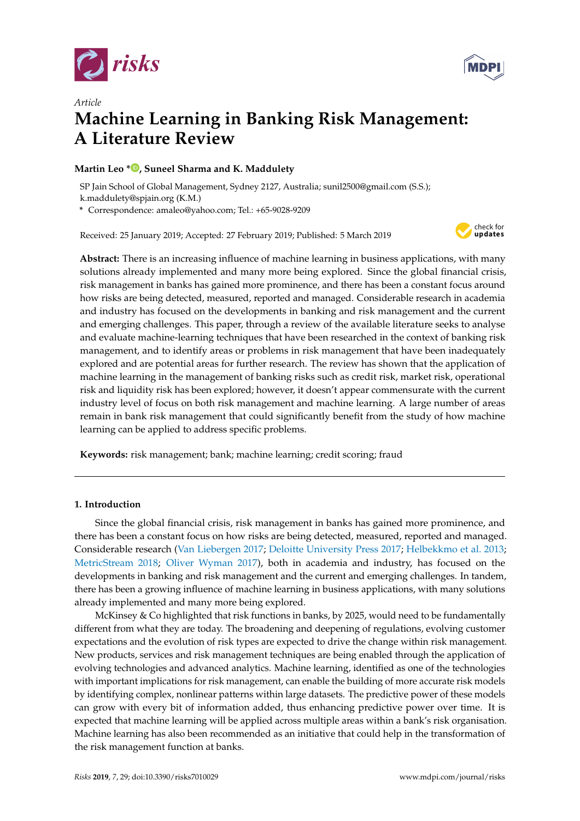



# *Article* **Machine Learning in Banking Risk Management: A Literature Review**

# **Martin Leo [\\*](https://orcid.org/0000-0001-6091-6959) , Suneel Sharma and K. Maddulety**

SP Jain School of Global Management, Sydney 2127, Australia; sunil2500@gmail.com (S.S.); k.maddulety@spjain.org (K.M.)

**\*** Correspondence: amaleo@yahoo.com; Tel.: +65-9028-9209

Received: 25 January 2019; Accepted: 27 February 2019; Published: 5 March 2019



**Abstract:** There is an increasing influence of machine learning in business applications, with many solutions already implemented and many more being explored. Since the global financial crisis, risk management in banks has gained more prominence, and there has been a constant focus around how risks are being detected, measured, reported and managed. Considerable research in academia and industry has focused on the developments in banking and risk management and the current and emerging challenges. This paper, through a review of the available literature seeks to analyse and evaluate machine-learning techniques that have been researched in the context of banking risk management, and to identify areas or problems in risk management that have been inadequately explored and are potential areas for further research. The review has shown that the application of machine learning in the management of banking risks such as credit risk, market risk, operational risk and liquidity risk has been explored; however, it doesn't appear commensurate with the current industry level of focus on both risk management and machine learning. A large number of areas remain in bank risk management that could significantly benefit from the study of how machine learning can be applied to address specific problems.

**Keywords:** risk management; bank; machine learning; credit scoring; fraud

# **1. Introduction**

Since the global financial crisis, risk management in banks has gained more prominence, and there has been a constant focus on how risks are being detected, measured, reported and managed. Considerable research [\(Van Liebergen](#page-20-0) [2017;](#page-20-0) [Deloitte University Press](#page-18-0) [2017;](#page-18-0) [Helbekkmo et al.](#page-19-0) [2013;](#page-19-0) [MetricStream](#page-19-1) [2018;](#page-19-1) [Oliver Wyman](#page-19-2) [2017\)](#page-19-2), both in academia and industry, has focused on the developments in banking and risk management and the current and emerging challenges. In tandem, there has been a growing influence of machine learning in business applications, with many solutions already implemented and many more being explored.

McKinsey & Co highlighted that risk functions in banks, by 2025, would need to be fundamentally different from what they are today. The broadening and deepening of regulations, evolving customer expectations and the evolution of risk types are expected to drive the change within risk management. New products, services and risk management techniques are being enabled through the application of evolving technologies and advanced analytics. Machine learning, identified as one of the technologies with important implications for risk management, can enable the building of more accurate risk models by identifying complex, nonlinear patterns within large datasets. The predictive power of these models can grow with every bit of information added, thus enhancing predictive power over time. It is expected that machine learning will be applied across multiple areas within a bank's risk organisation. Machine learning has also been recommended as an initiative that could help in the transformation of the risk management function at banks.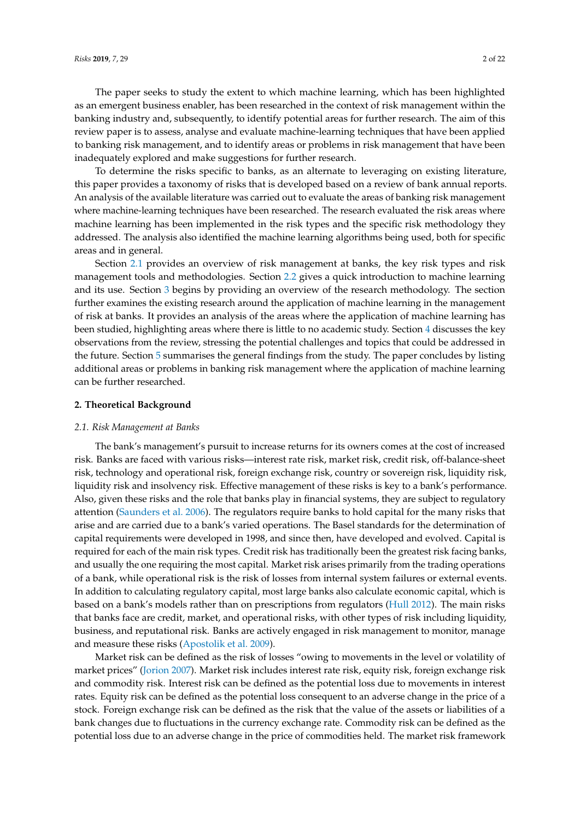The paper seeks to study the extent to which machine learning, which has been highlighted as an emergent business enabler, has been researched in the context of risk management within the banking industry and, subsequently, to identify potential areas for further research. The aim of this review paper is to assess, analyse and evaluate machine-learning techniques that have been applied to banking risk management, and to identify areas or problems in risk management that have been inadequately explored and make suggestions for further research.

To determine the risks specific to banks, as an alternate to leveraging on existing literature, this paper provides a taxonomy of risks that is developed based on a review of bank annual reports. An analysis of the available literature was carried out to evaluate the areas of banking risk management where machine-learning techniques have been researched. The research evaluated the risk areas where machine learning has been implemented in the risk types and the specific risk methodology they addressed. The analysis also identified the machine learning algorithms being used, both for specific areas and in general.

Section [2.1](#page-1-0) provides an overview of risk management at banks, the key risk types and risk management tools and methodologies. Section [2.2](#page-4-0) gives a quick introduction to machine learning and its use. Section [3](#page-6-0) begins by providing an overview of the research methodology. The section further examines the existing research around the application of machine learning in the management of risk at banks. It provides an analysis of the areas where the application of machine learning has been studied, highlighting areas where there is little to no academic study. Section [4](#page-12-0) discusses the key observations from the review, stressing the potential challenges and topics that could be addressed in the future. Section [5](#page-13-0) summarises the general findings from the study. The paper concludes by listing additional areas or problems in banking risk management where the application of machine learning can be further researched.

### **2. Theoretical Background**

#### <span id="page-1-0"></span>*2.1. Risk Management at Banks*

The bank's management's pursuit to increase returns for its owners comes at the cost of increased risk. Banks are faced with various risks—interest rate risk, market risk, credit risk, off-balance-sheet risk, technology and operational risk, foreign exchange risk, country or sovereign risk, liquidity risk, liquidity risk and insolvency risk. Effective management of these risks is key to a bank's performance. Also, given these risks and the role that banks play in financial systems, they are subject to regulatory attention [\(Saunders et al.](#page-20-1) [2006\)](#page-20-1). The regulators require banks to hold capital for the many risks that arise and are carried due to a bank's varied operations. The Basel standards for the determination of capital requirements were developed in 1998, and since then, have developed and evolved. Capital is required for each of the main risk types. Credit risk has traditionally been the greatest risk facing banks, and usually the one requiring the most capital. Market risk arises primarily from the trading operations of a bank, while operational risk is the risk of losses from internal system failures or external events. In addition to calculating regulatory capital, most large banks also calculate economic capital, which is based on a bank's models rather than on prescriptions from regulators [\(Hull](#page-19-3) [2012\)](#page-19-3). The main risks that banks face are credit, market, and operational risks, with other types of risk including liquidity, business, and reputational risk. Banks are actively engaged in risk management to monitor, manage and measure these risks [\(Apostolik et al.](#page-17-0) [2009\)](#page-17-0).

Market risk can be defined as the risk of losses "owing to movements in the level or volatility of market prices" [\(Jorion](#page-19-4) [2007\)](#page-19-4). Market risk includes interest rate risk, equity risk, foreign exchange risk and commodity risk. Interest risk can be defined as the potential loss due to movements in interest rates. Equity risk can be defined as the potential loss consequent to an adverse change in the price of a stock. Foreign exchange risk can be defined as the risk that the value of the assets or liabilities of a bank changes due to fluctuations in the currency exchange rate. Commodity risk can be defined as the potential loss due to an adverse change in the price of commodities held. The market risk framework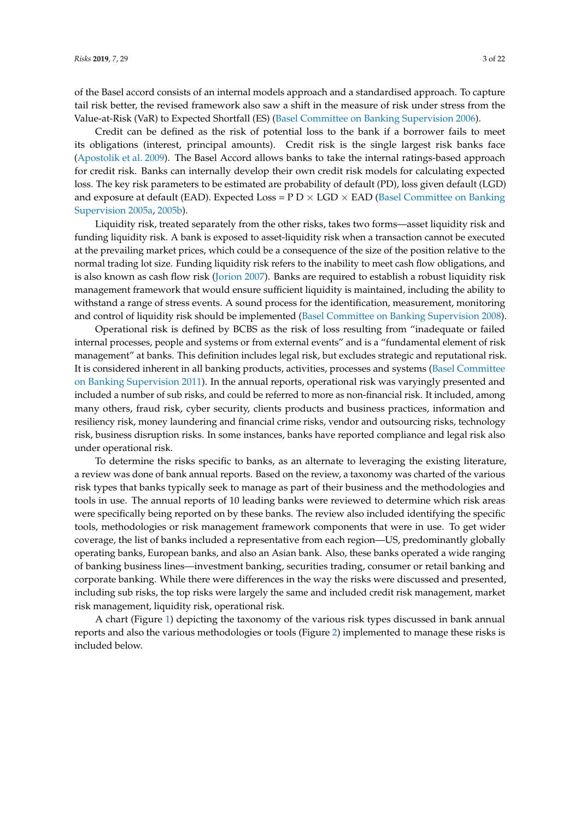of the Basel accord consists of an internal models approach and a standardised approach. To capture tail risk better, the revised framework also saw a shift in the measure of risk under stress from the Value-at-Risk (VaR) to Expected Shortfall (ES) [\(Basel Committee on Banking Supervision](#page-18-1) [2006\)](#page-18-1).

Credit can be defined as the risk of potential loss to the bank if a borrower fails to meet its obligations (interest, principal amounts). Credit risk is the single largest risk banks face [\(Apostolik et al.](#page-17-0) [2009\)](#page-17-0). The Basel Accord allows banks to take the internal ratings-based approach for credit risk. Banks can internally develop their own credit risk models for calculating expected loss. The key risk parameters to be estimated are probability of default (PD), loss given default (LGD) and exposure at default (EAD). Expected Loss =  $P D \times LGD \times EAD$  [\(Basel Committee on Banking](#page-18-2) [Supervision](#page-18-2) [2005a,](#page-18-2) [2005b\)](#page-18-3).

Liquidity risk, treated separately from the other risks, takes two forms—asset liquidity risk and funding liquidity risk. A bank is exposed to asset-liquidity risk when a transaction cannot be executed at the prevailing market prices, which could be a consequence of the size of the position relative to the normal trading lot size. Funding liquidity risk refers to the inability to meet cash flow obligations, and is also known as cash flow risk [\(Jorion](#page-19-4) [2007\)](#page-19-4). Banks are required to establish a robust liquidity risk management framework that would ensure sufficient liquidity is maintained, including the ability to withstand a range of stress events. A sound process for the identification, measurement, monitoring and control of liquidity risk should be implemented [\(Basel Committee on Banking Supervision](#page-18-4) [2008\)](#page-18-4).

Operational risk is defined by BCBS as the risk of loss resulting from "inadequate or failed internal processes, people and systems or from external events" and is a "fundamental element of risk management" at banks. This definition includes legal risk, but excludes strategic and reputational risk. It is considered inherent in all banking products, activities, processes and systems [\(Basel Committee](#page-18-5) [on Banking Supervision](#page-18-5) [2011\)](#page-18-5). In the annual reports, operational risk was varyingly presented and included a number of sub risks, and could be referred to more as non-financial risk. It included, among many others, fraud risk, cyber security, clients products and business practices, information and resiliency risk, money laundering and financial crime risks, vendor and outsourcing risks, technology risk, business disruption risks. In some instances, banks have reported compliance and legal risk also under operational risk.

To determine the risks specific to banks, as an alternate to leveraging the existing literature, a review was done of bank annual reports. Based on the review, a taxonomy was charted of the various risk types that banks typically seek to manage as part of their business and the methodologies and tools in use. The annual reports of 10 leading banks were reviewed to determine which risk areas were specifically being reported on by these banks. The review also included identifying the specific tools, methodologies or risk management framework components that were in use. To get wider coverage, the list of banks included a representative from each region—US, predominantly globally operating banks, European banks, and also an Asian bank. Also, these banks operated a wide ranging of banking business lines—investment banking, securities trading, consumer or retail banking and corporate banking. While there were differences in the way the risks were discussed and presented, including sub risks, the top risks were largely the same and included credit risk management, market risk management, liquidity risk, operational risk.

A chart (Figure [1\)](#page-3-0) depicting the taxonomy of the various risk types discussed in bank annual reports and also the various methodologies or tools (Figure [2\)](#page-4-1) implemented to manage these risks is included below.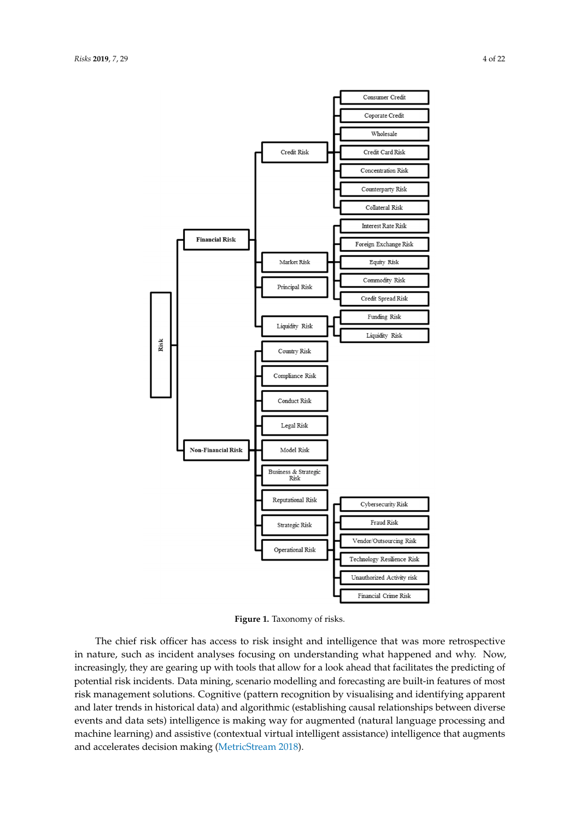<span id="page-3-0"></span>

**Figure 1.** Taxonomy of risks. **Figure 1.** Taxonomy of risks.

The chief risk officer has access to risk insight and intelligence that was more retrospective nature, such as incident analyses focusing on understanding what happened and why. Now, in nature, such as incident analyses focusing on understanding what happened and why. Now, increasingly, they are gearing up with tools that allow for a look ahead that facilitates the predicting increasingly, they are gearing up with tools that allow for a look ahead that facilitates the predicting of potential risk incidents. Data mining, scenario modelling and forecasting are built-in features of most risk management solutions. Cognitive (pattern recognition by visualising and identifying apparent and later trends in historical data) and algorithmic (establishing causal relationships between diverse events and data sets) intelligence is making way for augmented (natural language processing and machine learning) and assistive (contextual virtual intelligent assistance) intelligence that augments and accelerates de[cision making \(Met](#page-19-1)ricStream 2018).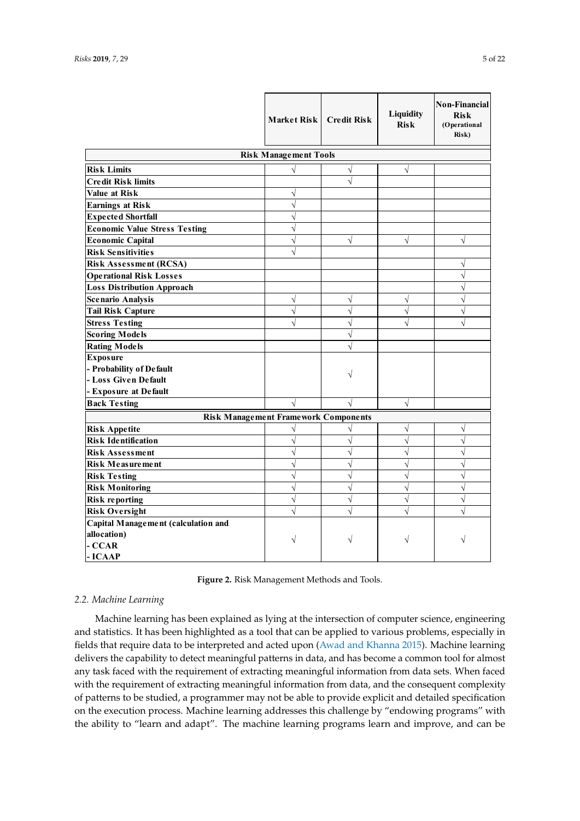<span id="page-4-1"></span>

|                                             | Market Risk   Credit Risk    |            | Liquidity<br><b>Risk</b> | Non-Financial<br><b>Risk</b><br>(Operational<br>Risk) |
|---------------------------------------------|------------------------------|------------|--------------------------|-------------------------------------------------------|
|                                             | <b>Risk Management Tools</b> |            |                          |                                                       |
| <b>Risk Limits</b>                          | $\sqrt{}$                    | $\sqrt{ }$ | $\sqrt{}$                |                                                       |
| <b>Credit Risk limits</b>                   |                              | $\sqrt{ }$ |                          |                                                       |
| <b>Value at Risk</b>                        | $\sqrt{}$                    |            |                          |                                                       |
| <b>Earnings at Risk</b>                     | $\sqrt{}$                    |            |                          |                                                       |
| <b>Expected Shortfall</b>                   | $\sqrt{ }$                   |            |                          |                                                       |
| <b>Economic Value Stress Testing</b>        | $\sqrt{2}$                   |            |                          |                                                       |
| <b>Economic Capital</b>                     | $\sqrt{}$                    | $\sqrt{}$  | $\sqrt{}$                | $\sqrt{}$                                             |
| <b>Risk Sensitivities</b>                   | $\sqrt{}$                    |            |                          |                                                       |
| <b>Risk Assessment (RCSA)</b>               |                              |            |                          | $\sqrt{}$                                             |
| <b>Operational Risk Losses</b>              |                              |            |                          | $\sqrt{}$                                             |
| <b>Loss Distribution Approach</b>           |                              |            |                          | $\sqrt{}$                                             |
| <b>Scenario Analysis</b>                    | $\sqrt{}$                    | $\sqrt{}$  | $\sqrt{ }$               | $\sqrt{}$                                             |
| <b>Tail Risk Capture</b>                    | $\sqrt{}$                    | $\sqrt{ }$ | $\sqrt{}$                | $\sqrt{}$                                             |
| <b>Stress Testing</b>                       | $\sqrt{}$                    | $\sqrt{ }$ | $\sqrt{}$                | $\sqrt{}$                                             |
| <b>Scoring Models</b>                       |                              | $\sqrt{}$  |                          |                                                       |
| <b>Rating Models</b>                        |                              | $\sqrt{ }$ |                          |                                                       |
| <b>Exposure</b>                             |                              |            |                          |                                                       |
| - Probability of Default                    |                              | V          |                          |                                                       |
| - Loss Given Default                        |                              |            |                          |                                                       |
| - Exposure at Default                       |                              |            |                          |                                                       |
| <b>Back Testing</b>                         | $\sqrt{}$                    | $\sqrt{ }$ | $\sqrt{ }$               |                                                       |
| <b>Risk Management Framework Components</b> |                              |            |                          |                                                       |
| <b>Risk Appetite</b>                        | $\sqrt{}$                    | V          | V                        | $\sqrt{}$                                             |
| <b>Risk Identification</b>                  | $\sqrt{}$                    | $\sqrt{ }$ | $\sqrt{ }$               | $\sqrt{ }$                                            |
| <b>Risk Assessment</b>                      | $\sqrt{}$                    | $\sqrt{ }$ | $\sqrt{}$                | $\sqrt{}$                                             |
| <b>Risk Measurement</b>                     | $\sqrt{}$                    | $\sqrt{}$  | $\sqrt{}$                | $\sqrt{}$                                             |
| <b>Risk Testing</b>                         | $\sqrt{}$                    | $\sqrt{}$  | $\sqrt{}$                | $\sqrt{ }$                                            |
| <b>Risk Monitoring</b>                      | $\sqrt{}$                    | $\sqrt{ }$ | $\sqrt{}$                | $\sqrt{ }$                                            |
| <b>Risk reporting</b>                       | $\sqrt{}$                    | $\sqrt{ }$ | $\sqrt{}$                | $\sqrt{}$                                             |
| <b>Risk Oversight</b>                       | $\sqrt{2}$                   | $\sqrt{ }$ | $\sqrt{}$                | $\sqrt{}$                                             |
| Capital Management (calculation and         |                              |            |                          |                                                       |
| allocation)                                 | V                            | ν          | V                        | V                                                     |
| - CCAR                                      |                              |            |                          |                                                       |
| - ICAAP                                     |                              |            |                          |                                                       |

**Figure 2.** Risk Management Methods and Tools. **Figure 2.** Risk Management Methods and Tools.

#### <span id="page-4-0"></span>*2.2. Machine Learning 2.2. Machine Learning*

Machine learning has been explained as lying at the intersection of computer science, Machine learning has been explained as lying at the intersection of computer science, engineering and statistics. It has been highlighted as a tool that can be applied to various problems, especially in fields that require data to be interpreted and acted upon [\(Awad and Khanna](#page-17-1) [2015\)](#page-17-1). Machine learning delivers the capability to detect meaningful patterns in data, and has become a common tool for almost any task faced with the requirement of extracting meaningful information from data sets. When faced with the requirement of extracting meaningful information from data, and the consequent complexity of patterns to be studied, a programmer may not be able to provide explicit and detailed specification on the execution process. Machine learning addresses this challenge by "endowing programs" with the ability to "learn and adapt". The machine learning programs learn and improve, and can be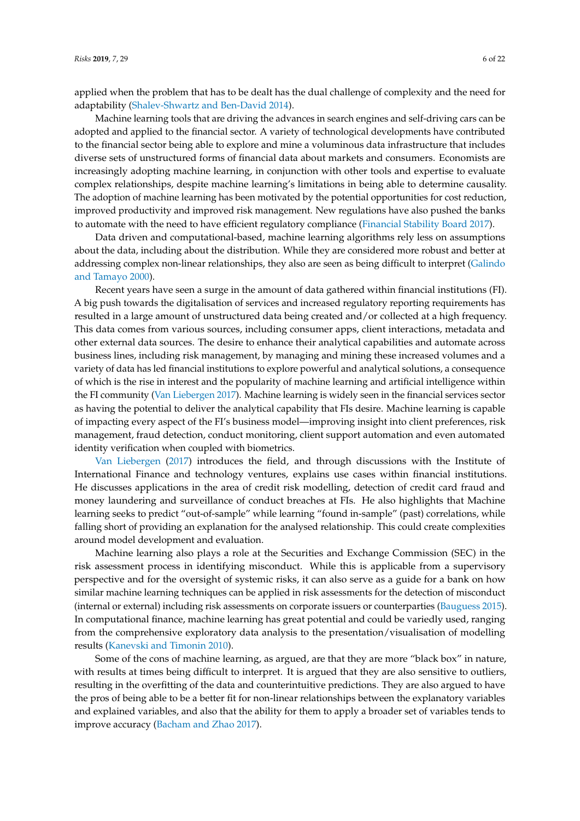applied when the problem that has to be dealt has the dual challenge of complexity and the need for adaptability [\(Shalev-Shwartz and Ben-David](#page-20-2) [2014\)](#page-20-2).

Machine learning tools that are driving the advances in search engines and self-driving cars can be adopted and applied to the financial sector. A variety of technological developments have contributed to the financial sector being able to explore and mine a voluminous data infrastructure that includes diverse sets of unstructured forms of financial data about markets and consumers. Economists are increasingly adopting machine learning, in conjunction with other tools and expertise to evaluate complex relationships, despite machine learning's limitations in being able to determine causality. The adoption of machine learning has been motivated by the potential opportunities for cost reduction, improved productivity and improved risk management. New regulations have also pushed the banks to automate with the need to have efficient regulatory compliance [\(Financial Stability Board](#page-18-6) [2017\)](#page-18-6).

Data driven and computational-based, machine learning algorithms rely less on assumptions about the data, including about the distribution. While they are considered more robust and better at addressing complex non-linear relationships, they also are seen as being difficult to interpret [\(Galindo](#page-18-7) [and Tamayo](#page-18-7) [2000\)](#page-18-7).

Recent years have seen a surge in the amount of data gathered within financial institutions (FI). A big push towards the digitalisation of services and increased regulatory reporting requirements has resulted in a large amount of unstructured data being created and/or collected at a high frequency. This data comes from various sources, including consumer apps, client interactions, metadata and other external data sources. The desire to enhance their analytical capabilities and automate across business lines, including risk management, by managing and mining these increased volumes and a variety of data has led financial institutions to explore powerful and analytical solutions, a consequence of which is the rise in interest and the popularity of machine learning and artificial intelligence within the FI community [\(Van Liebergen](#page-20-0) [2017\)](#page-20-0). Machine learning is widely seen in the financial services sector as having the potential to deliver the analytical capability that FIs desire. Machine learning is capable of impacting every aspect of the FI's business model—improving insight into client preferences, risk management, fraud detection, conduct monitoring, client support automation and even automated identity verification when coupled with biometrics.

[Van Liebergen](#page-20-0) [\(2017\)](#page-20-0) introduces the field, and through discussions with the Institute of International Finance and technology ventures, explains use cases within financial institutions. He discusses applications in the area of credit risk modelling, detection of credit card fraud and money laundering and surveillance of conduct breaches at FIs. He also highlights that Machine learning seeks to predict "out-of-sample" while learning "found in-sample" (past) correlations, while falling short of providing an explanation for the analysed relationship. This could create complexities around model development and evaluation.

Machine learning also plays a role at the Securities and Exchange Commission (SEC) in the risk assessment process in identifying misconduct. While this is applicable from a supervisory perspective and for the oversight of systemic risks, it can also serve as a guide for a bank on how similar machine learning techniques can be applied in risk assessments for the detection of misconduct (internal or external) including risk assessments on corporate issuers or counterparties [\(Bauguess](#page-18-8) [2015\)](#page-18-8). In computational finance, machine learning has great potential and could be variedly used, ranging from the comprehensive exploratory data analysis to the presentation/visualisation of modelling results [\(Kanevski and Timonin](#page-19-5) [2010\)](#page-19-5).

Some of the cons of machine learning, as argued, are that they are more "black box" in nature, with results at times being difficult to interpret. It is argued that they are also sensitive to outliers, resulting in the overfitting of the data and counterintuitive predictions. They are also argued to have the pros of being able to be a better fit for non-linear relationships between the explanatory variables and explained variables, and also that the ability for them to apply a broader set of variables tends to improve accuracy [\(Bacham and Zhao](#page-17-2) [2017\)](#page-17-2).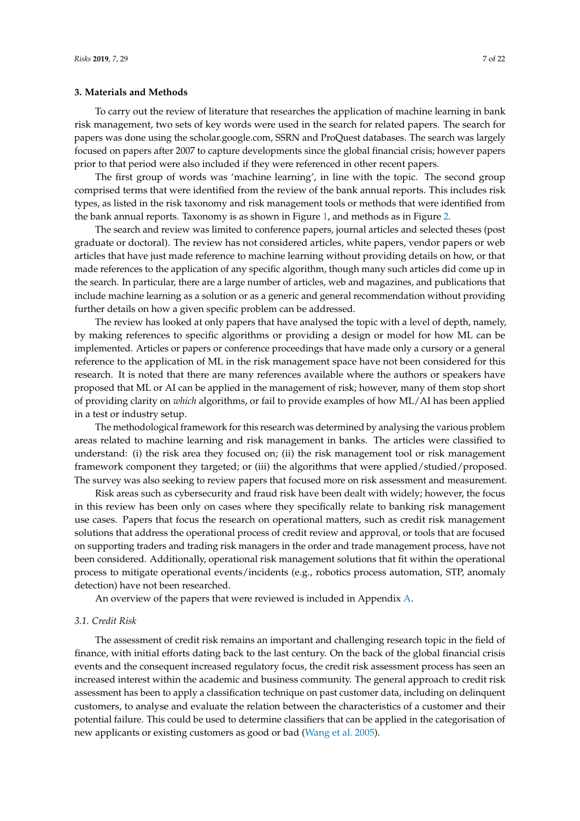## <span id="page-6-0"></span>**3. Materials and Methods**

To carry out the review of literature that researches the application of machine learning in bank risk management, two sets of key words were used in the search for related papers. The search for papers was done using the scholar.google.com, SSRN and ProQuest databases. The search was largely focused on papers after 2007 to capture developments since the global financial crisis; however papers prior to that period were also included if they were referenced in other recent papers.

The first group of words was 'machine learning', in line with the topic. The second group comprised terms that were identified from the review of the bank annual reports. This includes risk types, as listed in the risk taxonomy and risk management tools or methods that were identified from the bank annual reports. Taxonomy is as shown in Figure [1,](#page-3-0) and methods as in Figure [2.](#page-4-1)

The search and review was limited to conference papers, journal articles and selected theses (post graduate or doctoral). The review has not considered articles, white papers, vendor papers or web articles that have just made reference to machine learning without providing details on how, or that made references to the application of any specific algorithm, though many such articles did come up in the search. In particular, there are a large number of articles, web and magazines, and publications that include machine learning as a solution or as a generic and general recommendation without providing further details on how a given specific problem can be addressed.

The review has looked at only papers that have analysed the topic with a level of depth, namely, by making references to specific algorithms or providing a design or model for how ML can be implemented. Articles or papers or conference proceedings that have made only a cursory or a general reference to the application of ML in the risk management space have not been considered for this research. It is noted that there are many references available where the authors or speakers have proposed that ML or AI can be applied in the management of risk; however, many of them stop short of providing clarity on *which* algorithms, or fail to provide examples of how ML/AI has been applied in a test or industry setup.

The methodological framework for this research was determined by analysing the various problem areas related to machine learning and risk management in banks. The articles were classified to understand: (i) the risk area they focused on; (ii) the risk management tool or risk management framework component they targeted; or (iii) the algorithms that were applied/studied/proposed. The survey was also seeking to review papers that focused more on risk assessment and measurement.

Risk areas such as cybersecurity and fraud risk have been dealt with widely; however, the focus in this review has been only on cases where they specifically relate to banking risk management use cases. Papers that focus the research on operational matters, such as credit risk management solutions that address the operational process of credit review and approval, or tools that are focused on supporting traders and trading risk managers in the order and trade management process, have not been considered. Additionally, operational risk management solutions that fit within the operational process to mitigate operational events/incidents (e.g., robotics process automation, STP, anomaly detection) have not been researched.

An overview of the papers that were reviewed is included in Appendix [A.](#page-14-0)

#### *3.1. Credit Risk*

The assessment of credit risk remains an important and challenging research topic in the field of finance, with initial efforts dating back to the last century. On the back of the global financial crisis events and the consequent increased regulatory focus, the credit risk assessment process has seen an increased interest within the academic and business community. The general approach to credit risk assessment has been to apply a classification technique on past customer data, including on delinquent customers, to analyse and evaluate the relation between the characteristics of a customer and their potential failure. This could be used to determine classifiers that can be applied in the categorisation of new applicants or existing customers as good or bad [\(Wang et al.](#page-20-3) [2005\)](#page-20-3).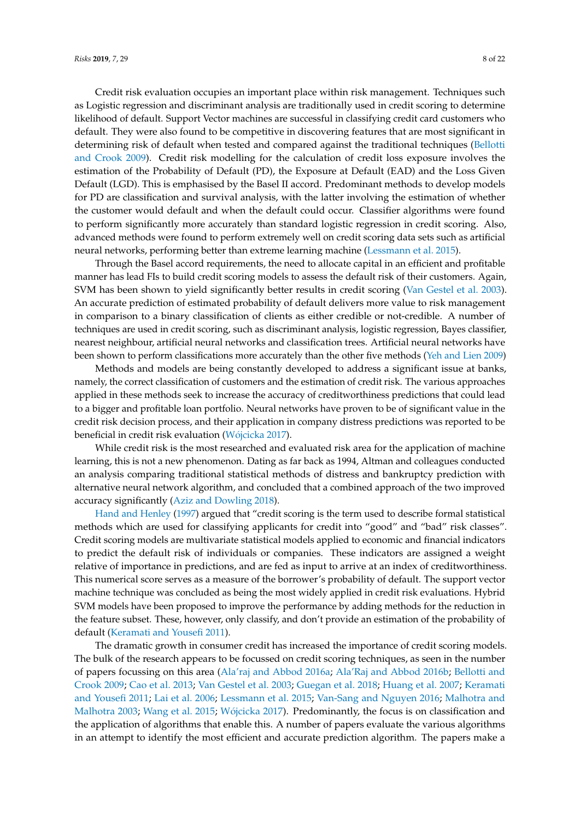Credit risk evaluation occupies an important place within risk management. Techniques such as Logistic regression and discriminant analysis are traditionally used in credit scoring to determine likelihood of default. Support Vector machines are successful in classifying credit card customers who default. They were also found to be competitive in discovering features that are most significant in determining risk of default when tested and compared against the traditional techniques [\(Bellotti](#page-18-9) [and Crook](#page-18-9) [2009\)](#page-18-9). Credit risk modelling for the calculation of credit loss exposure involves the estimation of the Probability of Default (PD), the Exposure at Default (EAD) and the Loss Given Default (LGD). This is emphasised by the Basel II accord. Predominant methods to develop models for PD are classification and survival analysis, with the latter involving the estimation of whether the customer would default and when the default could occur. Classifier algorithms were found to perform significantly more accurately than standard logistic regression in credit scoring. Also, advanced methods were found to perform extremely well on credit scoring data sets such as artificial neural networks, performing better than extreme learning machine [\(Lessmann et al.](#page-19-6) [2015\)](#page-19-6).

Through the Basel accord requirements, the need to allocate capital in an efficient and profitable manner has lead FIs to build credit scoring models to assess the default risk of their customers. Again, SVM has been shown to yield significantly better results in credit scoring [\(Van Gestel et al.](#page-20-4) [2003\)](#page-20-4). An accurate prediction of estimated probability of default delivers more value to risk management in comparison to a binary classification of clients as either credible or not-credible. A number of techniques are used in credit scoring, such as discriminant analysis, logistic regression, Bayes classifier, nearest neighbour, artificial neural networks and classification trees. Artificial neural networks have been shown to perform classifications more accurately than the other five methods [\(Yeh and Lien](#page-21-0) [2009\)](#page-21-0)

Methods and models are being constantly developed to address a significant issue at banks, namely, the correct classification of customers and the estimation of credit risk. The various approaches applied in these methods seek to increase the accuracy of creditworthiness predictions that could lead to a bigger and profitable loan portfolio. Neural networks have proven to be of significant value in the credit risk decision process, and their application in company distress predictions was reported to be beneficial in credit risk evaluation (Wó[jcicka](#page-20-5) [2017\)](#page-20-5).

While credit risk is the most researched and evaluated risk area for the application of machine learning, this is not a new phenomenon. Dating as far back as 1994, Altman and colleagues conducted an analysis comparing traditional statistical methods of distress and bankruptcy prediction with alternative neural network algorithm, and concluded that a combined approach of the two improved accuracy significantly [\(Aziz and Dowling](#page-17-3) [2018\)](#page-17-3).

[Hand and Henley](#page-18-10) [\(1997\)](#page-18-10) argued that "credit scoring is the term used to describe formal statistical methods which are used for classifying applicants for credit into "good" and "bad" risk classes". Credit scoring models are multivariate statistical models applied to economic and financial indicators to predict the default risk of individuals or companies. These indicators are assigned a weight relative of importance in predictions, and are fed as input to arrive at an index of creditworthiness. This numerical score serves as a measure of the borrower's probability of default. The support vector machine technique was concluded as being the most widely applied in credit risk evaluations. Hybrid SVM models have been proposed to improve the performance by adding methods for the reduction in the feature subset. These, however, only classify, and don't provide an estimation of the probability of default [\(Keramati and Yousefi](#page-19-7) [2011\)](#page-19-7).

The dramatic growth in consumer credit has increased the importance of credit scoring models. The bulk of the research appears to be focussed on credit scoring techniques, as seen in the number of papers focussing on this area [\(Ala'raj and Abbod](#page-17-4) [2016a;](#page-17-4) [Ala'Raj and Abbod](#page-17-5) [2016b;](#page-17-5) [Bellotti and](#page-18-9) [Crook](#page-18-9) [2009;](#page-18-9) [Cao et al.](#page-18-11) [2013;](#page-18-11) [Van Gestel et al.](#page-20-4) [2003;](#page-20-4) [Guegan et al.](#page-18-12) [2018;](#page-18-12) [Huang et al.](#page-19-8) [2007;](#page-19-8) [Keramati](#page-19-7) [and Yousefi](#page-19-7) [2011;](#page-19-7) [Lai et al.](#page-19-9) [2006;](#page-19-9) [Lessmann et al.](#page-19-6) [2015;](#page-19-6) [Van-Sang and Nguyen](#page-20-6) [2016;](#page-20-6) [Malhotra and](#page-19-10) [Malhotra](#page-19-10) [2003;](#page-19-10) [Wang et al.](#page-20-7) [2015;](#page-20-7) Wó[jcicka](#page-20-5) [2017\)](#page-20-5). Predominantly, the focus is on classification and the application of algorithms that enable this. A number of papers evaluate the various algorithms in an attempt to identify the most efficient and accurate prediction algorithm. The papers make a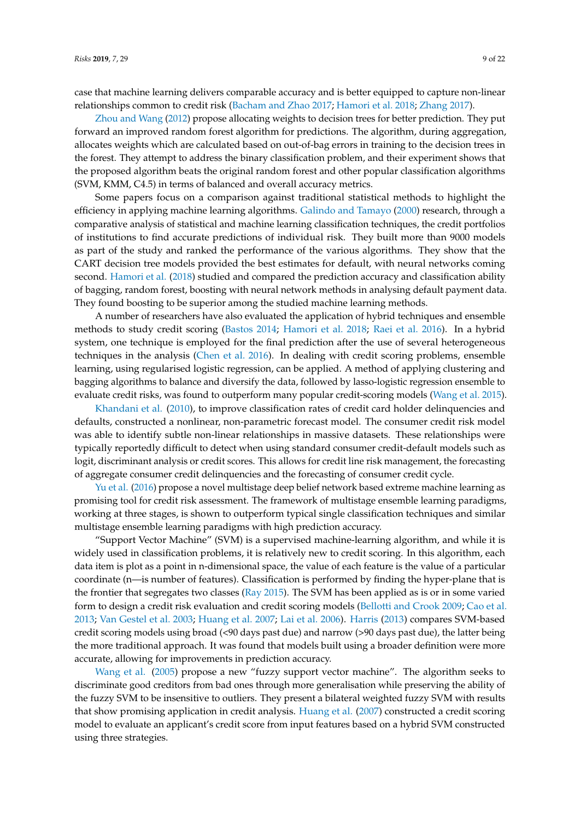case that machine learning delivers comparable accuracy and is better equipped to capture non-linear relationships common to credit risk [\(Bacham and Zhao](#page-17-2) [2017;](#page-17-2) [Hamori et al.](#page-18-13) [2018;](#page-18-13) [Zhang](#page-21-1) [2017\)](#page-21-1).

[Zhou and Wang](#page-21-2) [\(2012\)](#page-21-2) propose allocating weights to decision trees for better prediction. They put forward an improved random forest algorithm for predictions. The algorithm, during aggregation, allocates weights which are calculated based on out-of-bag errors in training to the decision trees in the forest. They attempt to address the binary classification problem, and their experiment shows that the proposed algorithm beats the original random forest and other popular classification algorithms (SVM, KMM, C4.5) in terms of balanced and overall accuracy metrics.

Some papers focus on a comparison against traditional statistical methods to highlight the efficiency in applying machine learning algorithms. [Galindo and Tamayo](#page-18-7) [\(2000\)](#page-18-7) research, through a comparative analysis of statistical and machine learning classification techniques, the credit portfolios of institutions to find accurate predictions of individual risk. They built more than 9000 models as part of the study and ranked the performance of the various algorithms. They show that the CART decision tree models provided the best estimates for default, with neural networks coming second. [Hamori et al.](#page-18-13) [\(2018\)](#page-18-13) studied and compared the prediction accuracy and classification ability of bagging, random forest, boosting with neural network methods in analysing default payment data. They found boosting to be superior among the studied machine learning methods.

A number of researchers have also evaluated the application of hybrid techniques and ensemble methods to study credit scoring [\(Bastos](#page-18-14) [2014;](#page-18-14) [Hamori et al.](#page-18-13) [2018;](#page-18-13) [Raei et al.](#page-20-8) [2016\)](#page-20-8). In a hybrid system, one technique is employed for the final prediction after the use of several heterogeneous techniques in the analysis [\(Chen et al.](#page-18-15) [2016\)](#page-18-15). In dealing with credit scoring problems, ensemble learning, using regularised logistic regression, can be applied. A method of applying clustering and bagging algorithms to balance and diversify the data, followed by lasso-logistic regression ensemble to evaluate credit risks, was found to outperform many popular credit-scoring models [\(Wang et al.](#page-20-7) [2015\)](#page-20-7).

[Khandani et al.](#page-19-11) [\(2010\)](#page-19-11), to improve classification rates of credit card holder delinquencies and defaults, constructed a nonlinear, non-parametric forecast model. The consumer credit risk model was able to identify subtle non-linear relationships in massive datasets. These relationships were typically reportedly difficult to detect when using standard consumer credit-default models such as logit, discriminant analysis or credit scores. This allows for credit line risk management, the forecasting of aggregate consumer credit delinquencies and the forecasting of consumer credit cycle.

[Yu et al.](#page-21-3) [\(2016\)](#page-21-3) propose a novel multistage deep belief network based extreme machine learning as promising tool for credit risk assessment. The framework of multistage ensemble learning paradigms, working at three stages, is shown to outperform typical single classification techniques and similar multistage ensemble learning paradigms with high prediction accuracy.

"Support Vector Machine" (SVM) is a supervised machine-learning algorithm, and while it is widely used in classification problems, it is relatively new to credit scoring. In this algorithm, each data item is plot as a point in n-dimensional space, the value of each feature is the value of a particular coordinate (n—is number of features). Classification is performed by finding the hyper-plane that is the frontier that segregates two classes [\(Ray](#page-20-9) [2015\)](#page-20-9). The SVM has been applied as is or in some varied form to design a credit risk evaluation and credit scoring models [\(Bellotti and Crook](#page-18-9) [2009;](#page-18-9) [Cao et al.](#page-18-11) [2013;](#page-18-11) [Van Gestel et al.](#page-20-4) [2003;](#page-20-4) [Huang et al.](#page-19-8) [2007;](#page-19-8) [Lai et al.](#page-19-9) [2006\)](#page-19-9). [Harris](#page-18-16) [\(2013\)](#page-18-16) compares SVM-based credit scoring models using broad (<90 days past due) and narrow (>90 days past due), the latter being the more traditional approach. It was found that models built using a broader definition were more accurate, allowing for improvements in prediction accuracy.

[Wang et al.](#page-20-3) [\(2005\)](#page-20-3) propose a new "fuzzy support vector machine". The algorithm seeks to discriminate good creditors from bad ones through more generalisation while preserving the ability of the fuzzy SVM to be insensitive to outliers. They present a bilateral weighted fuzzy SVM with results that show promising application in credit analysis. [Huang et al.](#page-19-8) [\(2007\)](#page-19-8) constructed a credit scoring model to evaluate an applicant's credit score from input features based on a hybrid SVM constructed using three strategies.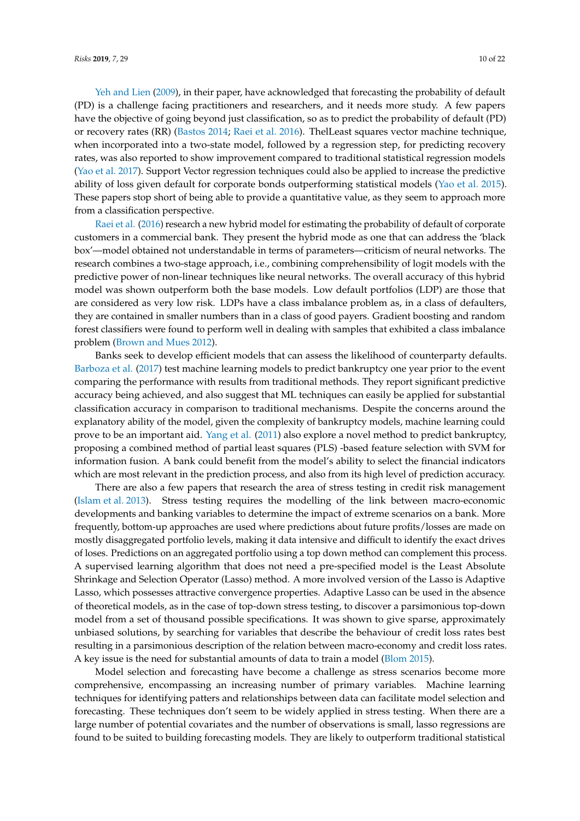[Yeh and Lien](#page-21-0) [\(2009\)](#page-21-0), in their paper, have acknowledged that forecasting the probability of default (PD) is a challenge facing practitioners and researchers, and it needs more study. A few papers have the objective of going beyond just classification, so as to predict the probability of default (PD) or recovery rates (RR) [\(Bastos](#page-18-14) [2014;](#page-18-14) [Raei et al.](#page-20-8) [2016\)](#page-20-8). ThelLeast squares vector machine technique, when incorporated into a two-state model, followed by a regression step, for predicting recovery rates, was also reported to show improvement compared to traditional statistical regression models [\(Yao et al.](#page-21-4) [2017\)](#page-21-4). Support Vector regression techniques could also be applied to increase the predictive ability of loss given default for corporate bonds outperforming statistical models [\(Yao et al.](#page-21-5) [2015\)](#page-21-5). These papers stop short of being able to provide a quantitative value, as they seem to approach more from a classification perspective.

[Raei et al.](#page-20-8) [\(2016\)](#page-20-8) research a new hybrid model for estimating the probability of default of corporate customers in a commercial bank. They present the hybrid mode as one that can address the 'black box'—model obtained not understandable in terms of parameters—criticism of neural networks. The research combines a two-stage approach, i.e., combining comprehensibility of logit models with the predictive power of non-linear techniques like neural networks. The overall accuracy of this hybrid model was shown outperform both the base models. Low default portfolios (LDP) are those that are considered as very low risk. LDPs have a class imbalance problem as, in a class of defaulters, they are contained in smaller numbers than in a class of good payers. Gradient boosting and random forest classifiers were found to perform well in dealing with samples that exhibited a class imbalance problem [\(Brown and Mues](#page-18-17) [2012\)](#page-18-17).

Banks seek to develop efficient models that can assess the likelihood of counterparty defaults. [Barboza et al.](#page-17-6) [\(2017\)](#page-17-6) test machine learning models to predict bankruptcy one year prior to the event comparing the performance with results from traditional methods. They report significant predictive accuracy being achieved, and also suggest that ML techniques can easily be applied for substantial classification accuracy in comparison to traditional mechanisms. Despite the concerns around the explanatory ability of the model, given the complexity of bankruptcy models, machine learning could prove to be an important aid. [Yang et al.](#page-21-6) [\(2011\)](#page-21-6) also explore a novel method to predict bankruptcy, proposing a combined method of partial least squares (PLS) -based feature selection with SVM for information fusion. A bank could benefit from the model's ability to select the financial indicators which are most relevant in the prediction process, and also from its high level of prediction accuracy.

There are also a few papers that research the area of stress testing in credit risk management [\(Islam et al.](#page-19-12) [2013\)](#page-19-12). Stress testing requires the modelling of the link between macro-economic developments and banking variables to determine the impact of extreme scenarios on a bank. More frequently, bottom-up approaches are used where predictions about future profits/losses are made on mostly disaggregated portfolio levels, making it data intensive and difficult to identify the exact drives of loses. Predictions on an aggregated portfolio using a top down method can complement this process. A supervised learning algorithm that does not need a pre-specified model is the Least Absolute Shrinkage and Selection Operator (Lasso) method. A more involved version of the Lasso is Adaptive Lasso, which possesses attractive convergence properties. Adaptive Lasso can be used in the absence of theoretical models, as in the case of top-down stress testing, to discover a parsimonious top-down model from a set of thousand possible specifications. It was shown to give sparse, approximately unbiased solutions, by searching for variables that describe the behaviour of credit loss rates best resulting in a parsimonious description of the relation between macro-economy and credit loss rates. A key issue is the need for substantial amounts of data to train a model [\(Blom](#page-18-18) [2015\)](#page-18-18).

Model selection and forecasting have become a challenge as stress scenarios become more comprehensive, encompassing an increasing number of primary variables. Machine learning techniques for identifying patters and relationships between data can facilitate model selection and forecasting. These techniques don't seem to be widely applied in stress testing. When there are a large number of potential covariates and the number of observations is small, lasso regressions are found to be suited to building forecasting models. They are likely to outperform traditional statistical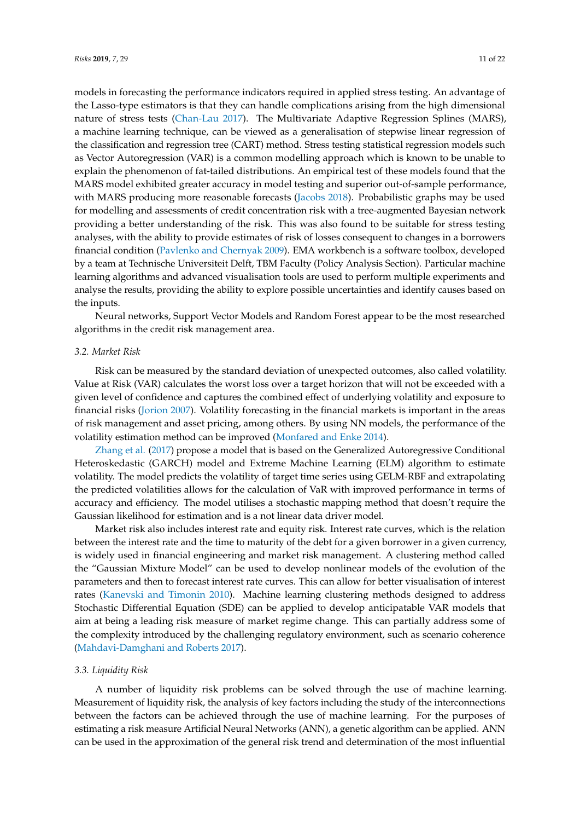models in forecasting the performance indicators required in applied stress testing. An advantage of the Lasso-type estimators is that they can handle complications arising from the high dimensional nature of stress tests [\(Chan-Lau](#page-18-19) [2017\)](#page-18-19). The Multivariate Adaptive Regression Splines (MARS), a machine learning technique, can be viewed as a generalisation of stepwise linear regression of the classification and regression tree (CART) method. Stress testing statistical regression models such as Vector Autoregression (VAR) is a common modelling approach which is known to be unable to explain the phenomenon of fat-tailed distributions. An empirical test of these models found that the MARS model exhibited greater accuracy in model testing and superior out-of-sample performance, with MARS producing more reasonable forecasts [\(Jacobs](#page-19-13) [2018\)](#page-19-13). Probabilistic graphs may be used for modelling and assessments of credit concentration risk with a tree-augmented Bayesian network providing a better understanding of the risk. This was also found to be suitable for stress testing analyses, with the ability to provide estimates of risk of losses consequent to changes in a borrowers financial condition [\(Pavlenko and Chernyak](#page-20-10) [2009\)](#page-20-10). EMA workbench is a software toolbox, developed by a team at Technische Universiteit Delft, TBM Faculty (Policy Analysis Section). Particular machine learning algorithms and advanced visualisation tools are used to perform multiple experiments and analyse the results, providing the ability to explore possible uncertainties and identify causes based on the inputs.

Neural networks, Support Vector Models and Random Forest appear to be the most researched algorithms in the credit risk management area.

#### *3.2. Market Risk*

Risk can be measured by the standard deviation of unexpected outcomes, also called volatility. Value at Risk (VAR) calculates the worst loss over a target horizon that will not be exceeded with a given level of confidence and captures the combined effect of underlying volatility and exposure to financial risks [\(Jorion](#page-19-4) [2007\)](#page-19-4). Volatility forecasting in the financial markets is important in the areas of risk management and asset pricing, among others. By using NN models, the performance of the volatility estimation method can be improved [\(Monfared and Enke](#page-19-14) [2014\)](#page-19-14).

[Zhang et al.](#page-21-7) [\(2017\)](#page-21-7) propose a model that is based on the Generalized Autoregressive Conditional Heteroskedastic (GARCH) model and Extreme Machine Learning (ELM) algorithm to estimate volatility. The model predicts the volatility of target time series using GELM-RBF and extrapolating the predicted volatilities allows for the calculation of VaR with improved performance in terms of accuracy and efficiency. The model utilises a stochastic mapping method that doesn't require the Gaussian likelihood for estimation and is a not linear data driver model.

Market risk also includes interest rate and equity risk. Interest rate curves, which is the relation between the interest rate and the time to maturity of the debt for a given borrower in a given currency, is widely used in financial engineering and market risk management. A clustering method called the "Gaussian Mixture Model" can be used to develop nonlinear models of the evolution of the parameters and then to forecast interest rate curves. This can allow for better visualisation of interest rates [\(Kanevski and Timonin](#page-19-5) [2010\)](#page-19-5). Machine learning clustering methods designed to address Stochastic Differential Equation (SDE) can be applied to develop anticipatable VAR models that aim at being a leading risk measure of market regime change. This can partially address some of the complexity introduced by the challenging regulatory environment, such as scenario coherence [\(Mahdavi-Damghani and Roberts](#page-19-15) [2017\)](#page-19-15).

# *3.3. Liquidity Risk*

A number of liquidity risk problems can be solved through the use of machine learning. Measurement of liquidity risk, the analysis of key factors including the study of the interconnections between the factors can be achieved through the use of machine learning. For the purposes of estimating a risk measure Artificial Neural Networks (ANN), a genetic algorithm can be applied. ANN can be used in the approximation of the general risk trend and determination of the most influential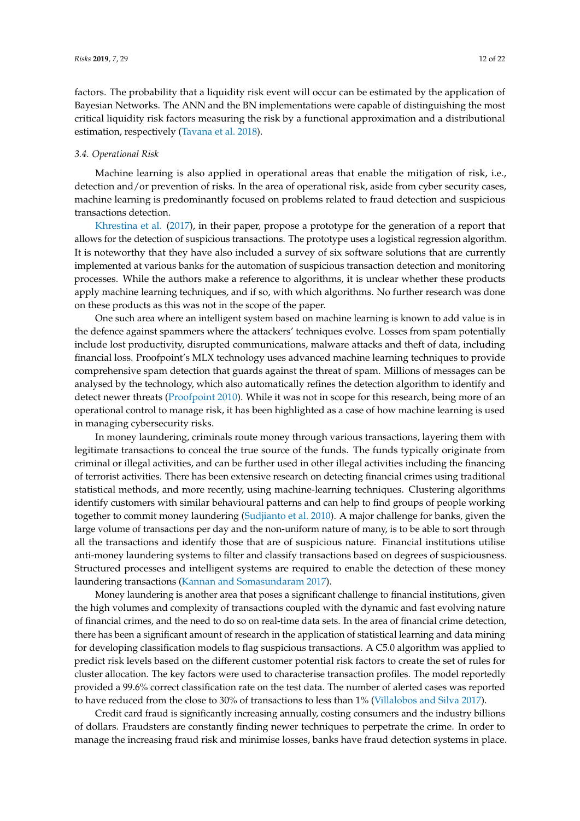factors. The probability that a liquidity risk event will occur can be estimated by the application of Bayesian Networks. The ANN and the BN implementations were capable of distinguishing the most critical liquidity risk factors measuring the risk by a functional approximation and a distributional estimation, respectively [\(Tavana et al.](#page-20-11) [2018\)](#page-20-11).

#### *3.4. Operational Risk*

Machine learning is also applied in operational areas that enable the mitigation of risk, i.e., detection and/or prevention of risks. In the area of operational risk, aside from cyber security cases, machine learning is predominantly focused on problems related to fraud detection and suspicious transactions detection.

[Khrestina et al.](#page-19-16) [\(2017\)](#page-19-16), in their paper, propose a prototype for the generation of a report that allows for the detection of suspicious transactions. The prototype uses a logistical regression algorithm. It is noteworthy that they have also included a survey of six software solutions that are currently implemented at various banks for the automation of suspicious transaction detection and monitoring processes. While the authors make a reference to algorithms, it is unclear whether these products apply machine learning techniques, and if so, with which algorithms. No further research was done on these products as this was not in the scope of the paper.

One such area where an intelligent system based on machine learning is known to add value is in the defence against spammers where the attackers' techniques evolve. Losses from spam potentially include lost productivity, disrupted communications, malware attacks and theft of data, including financial loss. Proofpoint's MLX technology uses advanced machine learning techniques to provide comprehensive spam detection that guards against the threat of spam. Millions of messages can be analysed by the technology, which also automatically refines the detection algorithm to identify and detect newer threats [\(Proofpoint](#page-20-12) [2010\)](#page-20-12). While it was not in scope for this research, being more of an operational control to manage risk, it has been highlighted as a case of how machine learning is used in managing cybersecurity risks.

In money laundering, criminals route money through various transactions, layering them with legitimate transactions to conceal the true source of the funds. The funds typically originate from criminal or illegal activities, and can be further used in other illegal activities including the financing of terrorist activities. There has been extensive research on detecting financial crimes using traditional statistical methods, and more recently, using machine-learning techniques. Clustering algorithms identify customers with similar behavioural patterns and can help to find groups of people working together to commit money laundering [\(Sudjianto et al.](#page-20-13) [2010\)](#page-20-13). A major challenge for banks, given the large volume of transactions per day and the non-uniform nature of many, is to be able to sort through all the transactions and identify those that are of suspicious nature. Financial institutions utilise anti-money laundering systems to filter and classify transactions based on degrees of suspiciousness. Structured processes and intelligent systems are required to enable the detection of these money laundering transactions [\(Kannan and Somasundaram](#page-19-17) [2017\)](#page-19-17).

Money laundering is another area that poses a significant challenge to financial institutions, given the high volumes and complexity of transactions coupled with the dynamic and fast evolving nature of financial crimes, and the need to do so on real-time data sets. In the area of financial crime detection, there has been a significant amount of research in the application of statistical learning and data mining for developing classification models to flag suspicious transactions. A C5.0 algorithm was applied to predict risk levels based on the different customer potential risk factors to create the set of rules for cluster allocation. The key factors were used to characterise transaction profiles. The model reportedly provided a 99.6% correct classification rate on the test data. The number of alerted cases was reported to have reduced from the close to 30% of transactions to less than 1% [\(Villalobos and Silva](#page-20-14) [2017\)](#page-20-14).

Credit card fraud is significantly increasing annually, costing consumers and the industry billions of dollars. Fraudsters are constantly finding newer techniques to perpetrate the crime. In order to manage the increasing fraud risk and minimise losses, banks have fraud detection systems in place.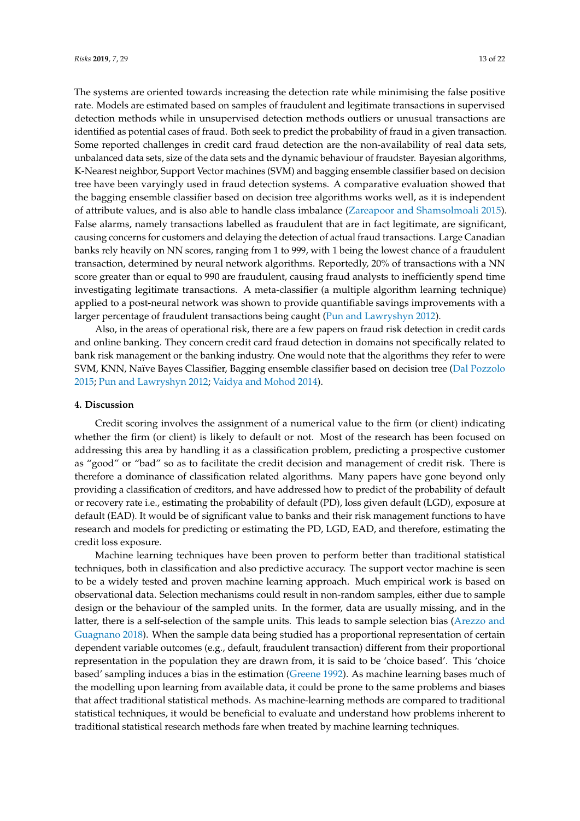The systems are oriented towards increasing the detection rate while minimising the false positive rate. Models are estimated based on samples of fraudulent and legitimate transactions in supervised detection methods while in unsupervised detection methods outliers or unusual transactions are identified as potential cases of fraud. Both seek to predict the probability of fraud in a given transaction. Some reported challenges in credit card fraud detection are the non-availability of real data sets, unbalanced data sets, size of the data sets and the dynamic behaviour of fraudster. Bayesian algorithms, K-Nearest neighbor, Support Vector machines (SVM) and bagging ensemble classifier based on decision tree have been varyingly used in fraud detection systems. A comparative evaluation showed that the bagging ensemble classifier based on decision tree algorithms works well, as it is independent of attribute values, and is also able to handle class imbalance [\(Zareapoor and Shamsolmoali](#page-21-8) [2015\)](#page-21-8). False alarms, namely transactions labelled as fraudulent that are in fact legitimate, are significant, causing concerns for customers and delaying the detection of actual fraud transactions. Large Canadian banks rely heavily on NN scores, ranging from 1 to 999, with 1 being the lowest chance of a fraudulent transaction, determined by neural network algorithms. Reportedly, 20% of transactions with a NN score greater than or equal to 990 are fraudulent, causing fraud analysts to inefficiently spend time investigating legitimate transactions. A meta-classifier (a multiple algorithm learning technique) applied to a post-neural network was shown to provide quantifiable savings improvements with a larger percentage of fraudulent transactions being caught [\(Pun and Lawryshyn](#page-20-15) [2012\)](#page-20-15).

Also, in the areas of operational risk, there are a few papers on fraud risk detection in credit cards and online banking. They concern credit card fraud detection in domains not specifically related to bank risk management or the banking industry. One would note that the algorithms they refer to were SVM, KNN, Naïve Bayes Classifier, Bagging ensemble classifier based on decision tree [\(Dal Pozzolo](#page-18-20) [2015;](#page-18-20) [Pun and Lawryshyn](#page-20-15) [2012;](#page-20-15) [Vaidya and Mohod](#page-20-16) [2014\)](#page-20-16).

# <span id="page-12-0"></span>**4. Discussion**

Credit scoring involves the assignment of a numerical value to the firm (or client) indicating whether the firm (or client) is likely to default or not. Most of the research has been focused on addressing this area by handling it as a classification problem, predicting a prospective customer as "good" or "bad" so as to facilitate the credit decision and management of credit risk. There is therefore a dominance of classification related algorithms. Many papers have gone beyond only providing a classification of creditors, and have addressed how to predict of the probability of default or recovery rate i.e., estimating the probability of default (PD), loss given default (LGD), exposure at default (EAD). It would be of significant value to banks and their risk management functions to have research and models for predicting or estimating the PD, LGD, EAD, and therefore, estimating the credit loss exposure.

Machine learning techniques have been proven to perform better than traditional statistical techniques, both in classification and also predictive accuracy. The support vector machine is seen to be a widely tested and proven machine learning approach. Much empirical work is based on observational data. Selection mechanisms could result in non-random samples, either due to sample design or the behaviour of the sampled units. In the former, data are usually missing, and in the latter, there is a self-selection of the sample units. This leads to sample selection bias [\(Arezzo and](#page-17-7) [Guagnano](#page-17-7) [2018\)](#page-17-7). When the sample data being studied has a proportional representation of certain dependent variable outcomes (e.g., default, fraudulent transaction) different from their proportional representation in the population they are drawn from, it is said to be 'choice based'. This 'choice based' sampling induces a bias in the estimation [\(Greene](#page-18-21) [1992\)](#page-18-21). As machine learning bases much of the modelling upon learning from available data, it could be prone to the same problems and biases that affect traditional statistical methods. As machine-learning methods are compared to traditional statistical techniques, it would be beneficial to evaluate and understand how problems inherent to traditional statistical research methods fare when treated by machine learning techniques.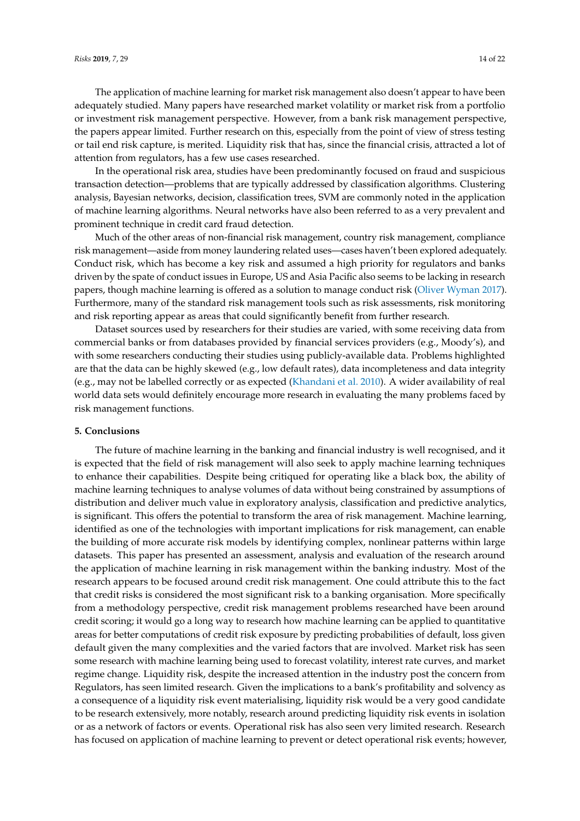The application of machine learning for market risk management also doesn't appear to have been adequately studied. Many papers have researched market volatility or market risk from a portfolio or investment risk management perspective. However, from a bank risk management perspective, the papers appear limited. Further research on this, especially from the point of view of stress testing or tail end risk capture, is merited. Liquidity risk that has, since the financial crisis, attracted a lot of attention from regulators, has a few use cases researched.

In the operational risk area, studies have been predominantly focused on fraud and suspicious transaction detection—problems that are typically addressed by classification algorithms. Clustering analysis, Bayesian networks, decision, classification trees, SVM are commonly noted in the application of machine learning algorithms. Neural networks have also been referred to as a very prevalent and prominent technique in credit card fraud detection.

Much of the other areas of non-financial risk management, country risk management, compliance risk management—aside from money laundering related uses—cases haven't been explored adequately. Conduct risk, which has become a key risk and assumed a high priority for regulators and banks driven by the spate of conduct issues in Europe, US and Asia Pacific also seems to be lacking in research papers, though machine learning is offered as a solution to manage conduct risk [\(Oliver Wyman](#page-19-2) [2017\)](#page-19-2). Furthermore, many of the standard risk management tools such as risk assessments, risk monitoring and risk reporting appear as areas that could significantly benefit from further research.

Dataset sources used by researchers for their studies are varied, with some receiving data from commercial banks or from databases provided by financial services providers (e.g., Moody's), and with some researchers conducting their studies using publicly-available data. Problems highlighted are that the data can be highly skewed (e.g., low default rates), data incompleteness and data integrity (e.g., may not be labelled correctly or as expected [\(Khandani et al.](#page-19-11) [2010\)](#page-19-11). A wider availability of real world data sets would definitely encourage more research in evaluating the many problems faced by risk management functions.

## <span id="page-13-0"></span>**5. Conclusions**

The future of machine learning in the banking and financial industry is well recognised, and it is expected that the field of risk management will also seek to apply machine learning techniques to enhance their capabilities. Despite being critiqued for operating like a black box, the ability of machine learning techniques to analyse volumes of data without being constrained by assumptions of distribution and deliver much value in exploratory analysis, classification and predictive analytics, is significant. This offers the potential to transform the area of risk management. Machine learning, identified as one of the technologies with important implications for risk management, can enable the building of more accurate risk models by identifying complex, nonlinear patterns within large datasets. This paper has presented an assessment, analysis and evaluation of the research around the application of machine learning in risk management within the banking industry. Most of the research appears to be focused around credit risk management. One could attribute this to the fact that credit risks is considered the most significant risk to a banking organisation. More specifically from a methodology perspective, credit risk management problems researched have been around credit scoring; it would go a long way to research how machine learning can be applied to quantitative areas for better computations of credit risk exposure by predicting probabilities of default, loss given default given the many complexities and the varied factors that are involved. Market risk has seen some research with machine learning being used to forecast volatility, interest rate curves, and market regime change. Liquidity risk, despite the increased attention in the industry post the concern from Regulators, has seen limited research. Given the implications to a bank's profitability and solvency as a consequence of a liquidity risk event materialising, liquidity risk would be a very good candidate to be research extensively, more notably, research around predicting liquidity risk events in isolation or as a network of factors or events. Operational risk has also seen very limited research. Research has focused on application of machine learning to prevent or detect operational risk events; however,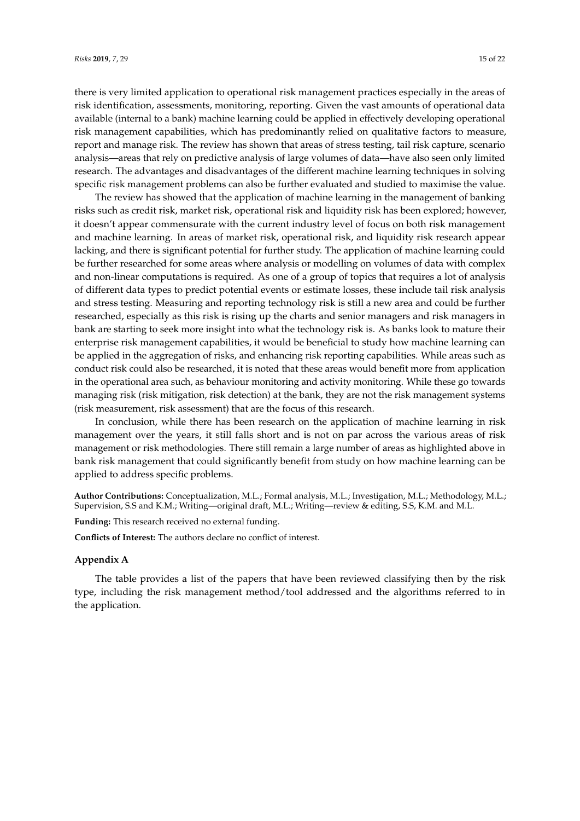there is very limited application to operational risk management practices especially in the areas of risk identification, assessments, monitoring, reporting. Given the vast amounts of operational data available (internal to a bank) machine learning could be applied in effectively developing operational risk management capabilities, which has predominantly relied on qualitative factors to measure, report and manage risk. The review has shown that areas of stress testing, tail risk capture, scenario analysis—areas that rely on predictive analysis of large volumes of data—have also seen only limited research. The advantages and disadvantages of the different machine learning techniques in solving specific risk management problems can also be further evaluated and studied to maximise the value.

The review has showed that the application of machine learning in the management of banking risks such as credit risk, market risk, operational risk and liquidity risk has been explored; however, it doesn't appear commensurate with the current industry level of focus on both risk management and machine learning. In areas of market risk, operational risk, and liquidity risk research appear lacking, and there is significant potential for further study. The application of machine learning could be further researched for some areas where analysis or modelling on volumes of data with complex and non-linear computations is required. As one of a group of topics that requires a lot of analysis of different data types to predict potential events or estimate losses, these include tail risk analysis and stress testing. Measuring and reporting technology risk is still a new area and could be further researched, especially as this risk is rising up the charts and senior managers and risk managers in bank are starting to seek more insight into what the technology risk is. As banks look to mature their enterprise risk management capabilities, it would be beneficial to study how machine learning can be applied in the aggregation of risks, and enhancing risk reporting capabilities. While areas such as conduct risk could also be researched, it is noted that these areas would benefit more from application in the operational area such, as behaviour monitoring and activity monitoring. While these go towards managing risk (risk mitigation, risk detection) at the bank, they are not the risk management systems (risk measurement, risk assessment) that are the focus of this research.

In conclusion, while there has been research on the application of machine learning in risk management over the years, it still falls short and is not on par across the various areas of risk management or risk methodologies. There still remain a large number of areas as highlighted above in bank risk management that could significantly benefit from study on how machine learning can be applied to address specific problems.

**Author Contributions:** Conceptualization, M.L.; Formal analysis, M.L.; Investigation, M.L.; Methodology, M.L.; Supervision, S.S and K.M.; Writing—original draft, M.L.; Writing—review & editing, S.S, K.M. and M.L.

**Funding:** This research received no external funding.

**Conflicts of Interest:** The authors declare no conflict of interest.

# <span id="page-14-0"></span>**Appendix A**

The table provides a list of the papers that have been reviewed classifying then by the risk type, including the risk management method/tool addressed and the algorithms referred to in the application.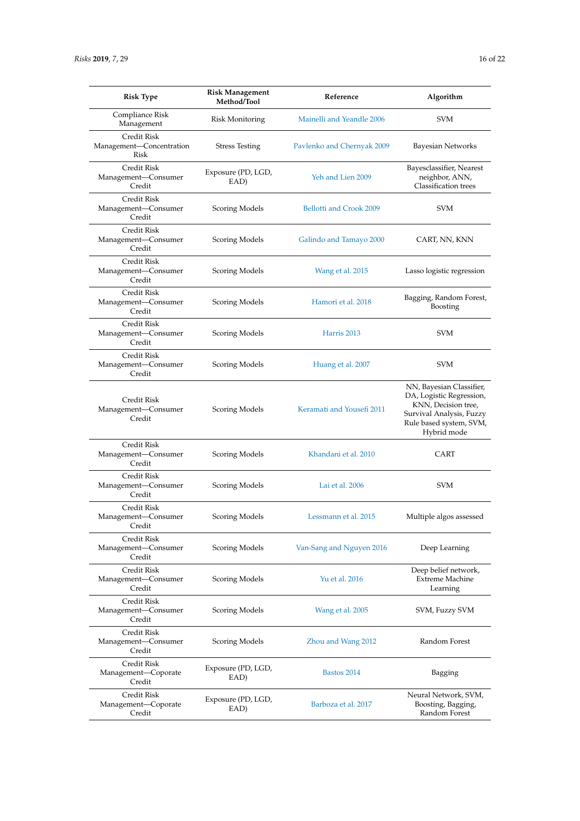| <b>Risk Type</b>                                       | <b>Risk Management</b><br>Method/Tool | Reference                  | Algorithm                                                                                                                                         |
|--------------------------------------------------------|---------------------------------------|----------------------------|---------------------------------------------------------------------------------------------------------------------------------------------------|
| Compliance Risk<br>Management                          | <b>Risk Monitoring</b>                | Mainelli and Yeandle 2006  | SVM                                                                                                                                               |
| <b>Credit Risk</b><br>Management-Concentration<br>Risk | <b>Stress Testing</b>                 | Pavlenko and Chernyak 2009 | <b>Bayesian Networks</b>                                                                                                                          |
| Credit Risk<br>Management-Consumer<br>Credit           | Exposure (PD, LGD,<br>EAD)            | Yeh and Lien 2009          | Bayesclassifier, Nearest<br>neighbor, ANN,<br><b>Classification</b> trees                                                                         |
| <b>Credit Risk</b><br>Management-Consumer<br>Credit    | Scoring Models                        | Bellotti and Crook 2009    | <b>SVM</b>                                                                                                                                        |
| Credit Risk<br>Management-Consumer<br>Credit           | Scoring Models                        | Galindo and Tamayo 2000    | CART, NN, KNN                                                                                                                                     |
| Credit Risk<br>Management-Consumer<br>Credit           | Scoring Models                        | Wang et al. 2015           | Lasso logistic regression                                                                                                                         |
| Credit Risk<br>Management-Consumer<br>Credit           | Scoring Models                        | Hamori et al. 2018         | Bagging, Random Forest,<br>Boosting                                                                                                               |
| Credit Risk<br>Management-Consumer<br>Credit           | Scoring Models                        | Harris 2013                | <b>SVM</b>                                                                                                                                        |
| <b>Credit Risk</b><br>Management-Consumer<br>Credit    | Scoring Models                        | Huang et al. 2007          | <b>SVM</b>                                                                                                                                        |
| Credit Risk<br>Management-Consumer<br>Credit           | Scoring Models                        | Keramati and Yousefi 2011  | NN, Bayesian Classifier,<br>DA, Logistic Regression,<br>KNN, Decision tree,<br>Survival Analysis, Fuzzy<br>Rule based system, SVM,<br>Hybrid mode |
| Credit Risk<br>Management-Consumer<br>Credit           | Scoring Models                        | Khandani et al. 2010       | CART                                                                                                                                              |
| <b>Credit Risk</b><br>Management-Consumer<br>Credit    | Scoring Models                        | Lai et al. 2006            | <b>SVM</b>                                                                                                                                        |
| Credit Risk<br>Management-Consumer<br>Credit           | Scoring Models                        | Lessmann et al. 2015       | Multiple algos assessed                                                                                                                           |
| Credit Risk<br>Management-Consumer<br>Credit           | Scoring Models                        | Van-Sang and Nguyen 2016   | Deep Learning                                                                                                                                     |
| Credit Risk<br>Management-Consumer<br>Credit           | Scoring Models                        | Yu et al. 2016             | Deep belief network,<br><b>Extreme Machine</b><br>Learning                                                                                        |
| Credit Risk<br>Management-Consumer<br>Credit           | Scoring Models                        | Wang et al. 2005           | SVM, Fuzzy SVM                                                                                                                                    |
| Credit Risk<br>Management-Consumer<br>Credit           | Scoring Models                        | Zhou and Wang 2012         | Random Forest                                                                                                                                     |
| Credit Risk<br>Management-Coporate<br>Credit           | Exposure (PD, LGD,<br>EAD)            | Bastos 2014                | Bagging                                                                                                                                           |
| Credit Risk<br>Management—Coporate<br>Credit           | Exposure (PD, LGD,<br>EAD)            | Barboza et al. 2017        | Neural Network, SVM,<br>Boosting, Bagging,<br>Random Forest                                                                                       |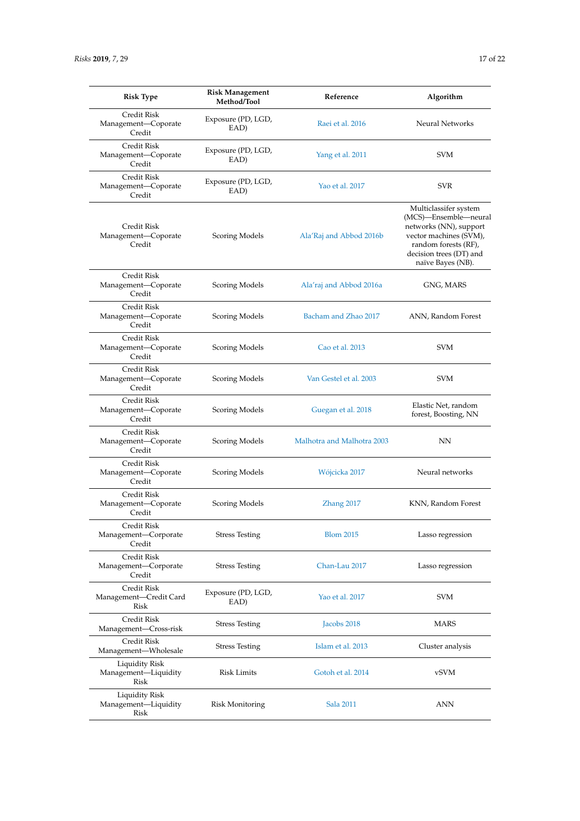| <b>Risk Type</b>                                    | <b>Risk Management</b><br>Method/Tool | Reference                  | Algorithm                                                                                                                                                                  |
|-----------------------------------------------------|---------------------------------------|----------------------------|----------------------------------------------------------------------------------------------------------------------------------------------------------------------------|
| Credit Risk<br>Management-Coporate<br>Credit        | Exposure (PD, LGD,<br>EAD)            | Raei et al. 2016           | Neural Networks                                                                                                                                                            |
| Credit Risk<br>Management-Coporate<br>Credit        | Exposure (PD, LGD,<br>EAD)            | Yang et al. 2011           | <b>SVM</b>                                                                                                                                                                 |
| Credit Risk<br>Management-Coporate<br>Credit        | Exposure (PD, LGD,<br>EAD)            | Yao et al. 2017            | <b>SVR</b>                                                                                                                                                                 |
| Credit Risk<br>Management-Coporate<br>Credit        | Scoring Models                        | Ala'Raj and Abbod 2016b    | Multiclassifer system<br>(MCS)-Ensemble-neural<br>networks (NN), support<br>vector machines (SVM),<br>random forests (RF),<br>decision trees (DT) and<br>naïve Bayes (NB). |
| <b>Credit Risk</b><br>Management-Coporate<br>Credit | Scoring Models                        | Ala'raj and Abbod 2016a    | GNG, MARS                                                                                                                                                                  |
| Credit Risk<br>Management-Coporate<br>Credit        | Scoring Models                        | Bacham and Zhao 2017       | ANN, Random Forest                                                                                                                                                         |
| Credit Risk<br>Management-Coporate<br>Credit        | Scoring Models                        | Cao et al. 2013            | <b>SVM</b>                                                                                                                                                                 |
| Credit Risk<br>Management-Coporate<br>Credit        | Scoring Models                        | Van Gestel et al. 2003     | <b>SVM</b>                                                                                                                                                                 |
| Credit Risk<br>Management-Coporate<br>Credit        | Scoring Models                        | Guegan et al. 2018         | Elastic Net, random<br>forest, Boosting, NN                                                                                                                                |
| Credit Risk<br>Management-Coporate<br>Credit        | Scoring Models                        | Malhotra and Malhotra 2003 | NN                                                                                                                                                                         |
| Credit Risk<br>Management-Coporate<br>Credit        | Scoring Models                        | Wójcicka 2017              | Neural networks                                                                                                                                                            |
| Credit Risk<br>Management-Coporate<br>Credit        | Scoring Models                        | $Z$ hang 2017              | KNN, Random Forest                                                                                                                                                         |
| Credit Risk<br>Management-Corporate<br>Credit       | <b>Stress Testing</b>                 | <b>Blom 2015</b>           | Lasso regression                                                                                                                                                           |
| Credit Risk<br>Management-Corporate<br>Credit       | Stress Testing                        | Chan-Lau 2017              | Lasso regression                                                                                                                                                           |
| Credit Risk<br>Management-Credit Card<br>Risk       | Exposure (PD, LGD,<br>EAD)            | Yao et al. 2017            | <b>SVM</b>                                                                                                                                                                 |
| Credit Risk<br>Management-Cross-risk                | Stress Testing                        | Jacobs 2018                | <b>MARS</b>                                                                                                                                                                |
| <b>Credit Risk</b><br>Management-Wholesale          | Stress Testing                        | Islam et al. 2013          | Cluster analysis                                                                                                                                                           |
| Liquidity Risk<br>Management—Liquidity<br>Risk      | Risk Limits                           | Gotoh et al. 2014          | vSVM                                                                                                                                                                       |
| Liquidity Risk<br>Management-Liquidity<br>Risk      | Risk Monitoring                       | Sala 2011                  | ANN                                                                                                                                                                        |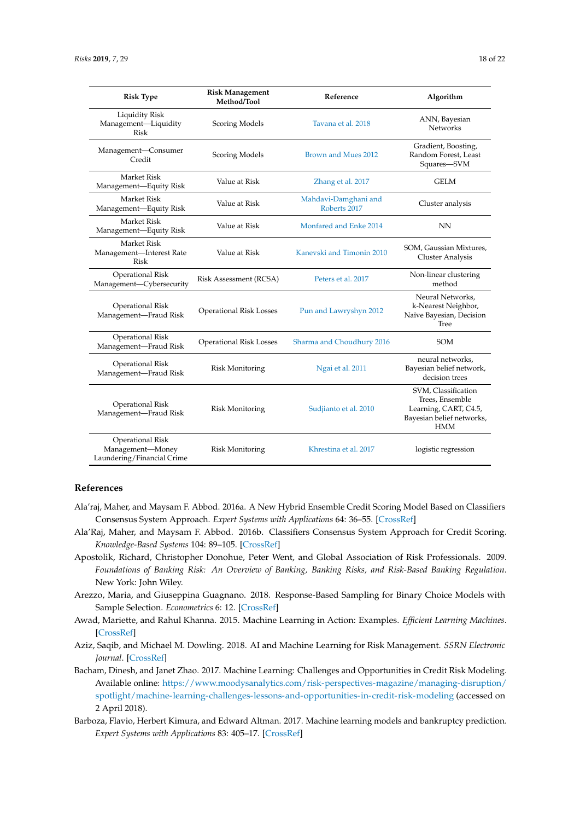| <b>Risk Type</b>                                                          | <b>Risk Management</b><br>Method/Tool | Reference                            | Algorithm                                                                                                  |
|---------------------------------------------------------------------------|---------------------------------------|--------------------------------------|------------------------------------------------------------------------------------------------------------|
| <b>Liquidity Risk</b><br>Management-Liquidity<br>Risk                     | Scoring Models                        | Tavana et al. 2018                   | ANN, Bayesian<br><b>Networks</b>                                                                           |
| Management-Consumer<br>Credit                                             | <b>Scoring Models</b>                 | Brown and Mues 2012                  | Gradient, Boosting,<br>Random Forest, Least<br>Squares-SVM                                                 |
| <b>Market Risk</b><br>Management-Equity Risk                              | Value at Risk                         | Zhang et al. 2017                    | <b>GELM</b>                                                                                                |
| <b>Market Risk</b><br>Management-Equity Risk                              | Value at Risk                         | Mahdavi-Damghani and<br>Roberts 2017 | Cluster analysis                                                                                           |
| <b>Market Risk</b><br>Management-Equity Risk                              | Value at Risk                         | Monfared and Enke 2014               | NN                                                                                                         |
| Market Risk<br>Management-Interest Rate<br>Risk                           | Value at Risk                         | Kanevski and Timonin 2010            | SOM, Gaussian Mixtures,<br><b>Cluster Analysis</b>                                                         |
| <b>Operational Risk</b><br>Management-Cybersecurity                       | Risk Assessment (RCSA)                | Peters et al. 2017                   | Non-linear clustering<br>method                                                                            |
| Operational Risk<br>Management-Fraud Risk                                 | <b>Operational Risk Losses</b>        | Pun and Lawryshyn 2012               | Neural Networks,<br>k-Nearest Neighbor,<br>Naïve Bayesian, Decision<br>Tree                                |
| <b>Operational Risk</b><br>Management-Fraud Risk                          | <b>Operational Risk Losses</b>        | Sharma and Choudhury 2016            | <b>SOM</b>                                                                                                 |
| <b>Operational Risk</b><br>Management-Fraud Risk                          | <b>Risk Monitoring</b>                | Ngai et al. 2011                     | neural networks,<br>Bayesian belief network,<br>decision trees                                             |
| <b>Operational Risk</b><br>Management-Fraud Risk                          | <b>Risk Monitoring</b>                | Sudjianto et al. 2010                | SVM, Classification<br>Trees, Ensemble<br>Learning, CART, C4.5,<br>Bayesian belief networks,<br><b>HMM</b> |
| <b>Operational Risk</b><br>Management-Money<br>Laundering/Financial Crime | <b>Risk Monitoring</b>                | Khrestina et al. 2017                | logistic regression                                                                                        |

# **References**

- <span id="page-17-4"></span>Ala'raj, Maher, and Maysam F. Abbod. 2016a. A New Hybrid Ensemble Credit Scoring Model Based on Classifiers Consensus System Approach. *Expert Systems with Applications* 64: 36–55. [\[CrossRef\]](http://dx.doi.org/10.1016/j.eswa.2016.07.017)
- <span id="page-17-5"></span>Ala'Raj, Maher, and Maysam F. Abbod. 2016b. Classifiers Consensus System Approach for Credit Scoring. *Knowledge-Based Systems* 104: 89–105. [\[CrossRef\]](http://dx.doi.org/10.1016/j.knosys.2016.04.013)
- <span id="page-17-0"></span>Apostolik, Richard, Christopher Donohue, Peter Went, and Global Association of Risk Professionals. 2009. *Foundations of Banking Risk: An Overview of Banking, Banking Risks, and Risk-Based Banking Regulation*. New York: John Wiley.
- <span id="page-17-7"></span>Arezzo, Maria, and Giuseppina Guagnano. 2018. Response-Based Sampling for Binary Choice Models with Sample Selection. *Econometrics* 6: 12. [\[CrossRef\]](http://dx.doi.org/10.3390/econometrics6010012)
- <span id="page-17-1"></span>Awad, Mariette, and Rahul Khanna. 2015. Machine Learning in Action: Examples. *Efficient Learning Machines*. [\[CrossRef\]](http://dx.doi.org/10.1007/978-1-4302-5990-9_11)
- <span id="page-17-3"></span>Aziz, Saqib, and Michael M. Dowling. 2018. AI and Machine Learning for Risk Management. *SSRN Electronic Journal*. [\[CrossRef\]](http://dx.doi.org/10.2139/ssrn.3201337)
- <span id="page-17-2"></span>Bacham, Dinesh, and Janet Zhao. 2017. Machine Learning: Challenges and Opportunities in Credit Risk Modeling. Available online: [https://www.moodysanalytics.com/risk-perspectives-magazine/managing-disruption/](https://www.moodysanalytics.com/risk-perspectives-magazine/managing-disruption/spotlight/machine-learning-challenges-lessons-and-opportunities-in-credit-risk-modeling) [spotlight/machine-learning-challenges-lessons-and-opportunities-in-credit-risk-modeling](https://www.moodysanalytics.com/risk-perspectives-magazine/managing-disruption/spotlight/machine-learning-challenges-lessons-and-opportunities-in-credit-risk-modeling) (accessed on 2 April 2018).
- <span id="page-17-6"></span>Barboza, Flavio, Herbert Kimura, and Edward Altman. 2017. Machine learning models and bankruptcy prediction. *Expert Systems with Applications* 83: 405–17. [\[CrossRef\]](http://dx.doi.org/10.1016/j.eswa.2017.04.006)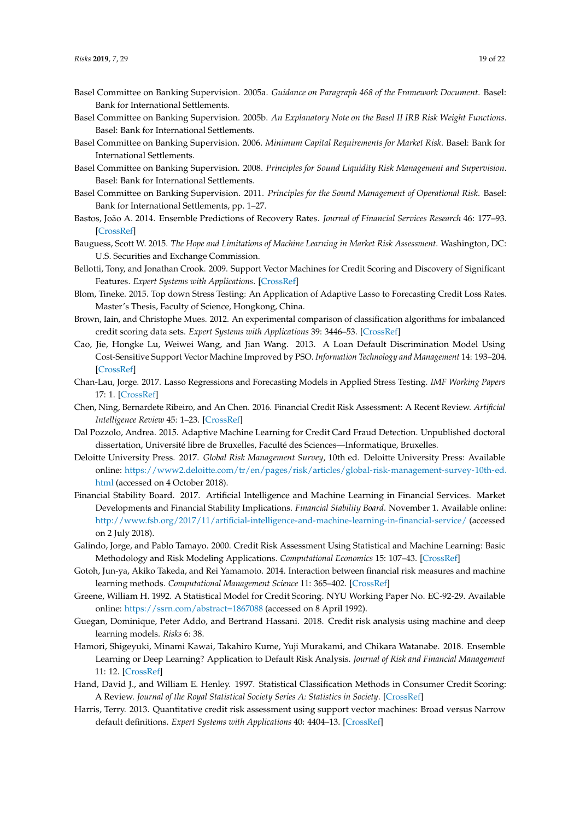- <span id="page-18-2"></span>Basel Committee on Banking Supervision. 2005a. *Guidance on Paragraph 468 of the Framework Document*. Basel: Bank for International Settlements.
- <span id="page-18-3"></span>Basel Committee on Banking Supervision. 2005b. *An Explanatory Note on the Basel II IRB Risk Weight Functions*. Basel: Bank for International Settlements.
- <span id="page-18-1"></span>Basel Committee on Banking Supervision. 2006. *Minimum Capital Requirements for Market Risk*. Basel: Bank for International Settlements.
- <span id="page-18-4"></span>Basel Committee on Banking Supervision. 2008. *Principles for Sound Liquidity Risk Management and Supervision*. Basel: Bank for International Settlements.
- <span id="page-18-5"></span>Basel Committee on Banking Supervision. 2011. *Principles for the Sound Management of Operational Risk*. Basel: Bank for International Settlements, pp. 1–27.
- <span id="page-18-14"></span>Bastos, João A. 2014. Ensemble Predictions of Recovery Rates. *Journal of Financial Services Research* 46: 177–93. [\[CrossRef\]](http://dx.doi.org/10.1007/s10693-013-0165-3)
- <span id="page-18-8"></span>Bauguess, Scott W. 2015. *The Hope and Limitations of Machine Learning in Market Risk Assessment*. Washington, DC: U.S. Securities and Exchange Commission.
- <span id="page-18-9"></span>Bellotti, Tony, and Jonathan Crook. 2009. Support Vector Machines for Credit Scoring and Discovery of Significant Features. *Expert Systems with Applications*. [\[CrossRef\]](http://dx.doi.org/10.1016/j.eswa.2008.01.005)
- <span id="page-18-18"></span>Blom, Tineke. 2015. Top down Stress Testing: An Application of Adaptive Lasso to Forecasting Credit Loss Rates. Master's Thesis, Faculty of Science, Hongkong, China.
- <span id="page-18-17"></span>Brown, Iain, and Christophe Mues. 2012. An experimental comparison of classification algorithms for imbalanced credit scoring data sets. *Expert Systems with Applications* 39: 3446–53. [\[CrossRef\]](http://dx.doi.org/10.1016/j.eswa.2011.09.033)
- <span id="page-18-11"></span>Cao, Jie, Hongke Lu, Weiwei Wang, and Jian Wang. 2013. A Loan Default Discrimination Model Using Cost-Sensitive Support Vector Machine Improved by PSO. *Information Technology and Management* 14: 193–204. [\[CrossRef\]](http://dx.doi.org/10.1007/s10799-013-0161-1)
- <span id="page-18-19"></span>Chan-Lau, Jorge. 2017. Lasso Regressions and Forecasting Models in Applied Stress Testing. *IMF Working Papers* 17: 1. [\[CrossRef\]](http://dx.doi.org/10.5089/9781475599022.001)
- <span id="page-18-15"></span>Chen, Ning, Bernardete Ribeiro, and An Chen. 2016. Financial Credit Risk Assessment: A Recent Review. *Artificial Intelligence Review* 45: 1–23. [\[CrossRef\]](http://dx.doi.org/10.1007/s10462-015-9434-x)
- <span id="page-18-20"></span>Dal Pozzolo, Andrea. 2015. Adaptive Machine Learning for Credit Card Fraud Detection. Unpublished doctoral dissertation, Université libre de Bruxelles, Faculté des Sciences—Informatique, Bruxelles.
- <span id="page-18-0"></span>Deloitte University Press. 2017. *Global Risk Management Survey*, 10th ed. Deloitte University Press: Available online: [https://www2.deloitte.com/tr/en/pages/risk/articles/global-risk-management-survey-10th-ed.](https://www2.deloitte.com/tr/en/pages/risk/articles/global-risk-management-survey-10th-ed.html) [html](https://www2.deloitte.com/tr/en/pages/risk/articles/global-risk-management-survey-10th-ed.html) (accessed on 4 October 2018).
- <span id="page-18-6"></span>Financial Stability Board. 2017. Artificial Intelligence and Machine Learning in Financial Services. Market Developments and Financial Stability Implications. *Financial Stability Board*. November 1. Available online: <http://www.fsb.org/2017/11/artificial-intelligence-and-machine-learning-in-financial-service/> (accessed on 2 July 2018).
- <span id="page-18-7"></span>Galindo, Jorge, and Pablo Tamayo. 2000. Credit Risk Assessment Using Statistical and Machine Learning: Basic Methodology and Risk Modeling Applications. *Computational Economics* 15: 107–43. [\[CrossRef\]](http://dx.doi.org/10.1023/A:1008699112516)
- <span id="page-18-22"></span>Gotoh, Jun-ya, Akiko Takeda, and Rei Yamamoto. 2014. Interaction between financial risk measures and machine learning methods. *Computational Management Science* 11: 365–402. [\[CrossRef\]](http://dx.doi.org/10.1007/s10287-013-0175-5)
- <span id="page-18-21"></span>Greene, William H. 1992. A Statistical Model for Credit Scoring. NYU Working Paper No. EC-92-29. Available online: <https://ssrn.com/abstract=1867088> (accessed on 8 April 1992).
- <span id="page-18-12"></span>Guegan, Dominique, Peter Addo, and Bertrand Hassani. 2018. Credit risk analysis using machine and deep learning models. *Risks* 6: 38.
- <span id="page-18-13"></span>Hamori, Shigeyuki, Minami Kawai, Takahiro Kume, Yuji Murakami, and Chikara Watanabe. 2018. Ensemble Learning or Deep Learning? Application to Default Risk Analysis. *Journal of Risk and Financial Management* 11: 12. [\[CrossRef\]](http://dx.doi.org/10.3390/jrfm11010012)
- <span id="page-18-10"></span>Hand, David J., and William E. Henley. 1997. Statistical Classification Methods in Consumer Credit Scoring: A Review. *Journal of the Royal Statistical Society Series A: Statistics in Society*. [\[CrossRef\]](http://dx.doi.org/10.1111/j.1467-985X.1997.00078.x)
- <span id="page-18-16"></span>Harris, Terry. 2013. Quantitative credit risk assessment using support vector machines: Broad versus Narrow default definitions. *Expert Systems with Applications* 40: 4404–13. [\[CrossRef\]](http://dx.doi.org/10.1016/j.eswa.2013.01.044)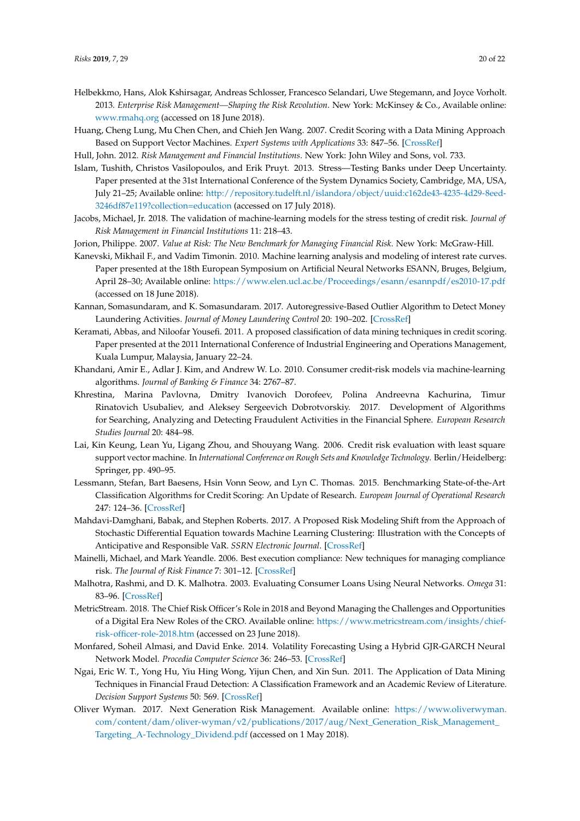- <span id="page-19-0"></span>Helbekkmo, Hans, Alok Kshirsagar, Andreas Schlosser, Francesco Selandari, Uwe Stegemann, and Joyce Vorholt. 2013. *Enterprise Risk Management—Shaping the Risk Revolution*. New York: McKinsey & Co., Available online: <www.rmahq.org> (accessed on 18 June 2018).
- <span id="page-19-8"></span>Huang, Cheng Lung, Mu Chen Chen, and Chieh Jen Wang. 2007. Credit Scoring with a Data Mining Approach Based on Support Vector Machines. *Expert Systems with Applications* 33: 847–56. [\[CrossRef\]](http://dx.doi.org/10.1016/j.eswa.2006.07.007)
- <span id="page-19-3"></span>Hull, John. 2012. *Risk Management and Financial Institutions*. New York: John Wiley and Sons, vol. 733.
- <span id="page-19-12"></span>Islam, Tushith, Christos Vasilopoulos, and Erik Pruyt. 2013. Stress—Testing Banks under Deep Uncertainty. Paper presented at the 31st International Conference of the System Dynamics Society, Cambridge, MA, USA, July 21–25; Available online: [http://repository.tudelft.nl/islandora/object/uuid:c162de43-4235-4d29-8eed-](http://repository.tudelft.nl/islandora/object/uuid:c162de43-4235-4d29-8eed-3246df87e119?collection=education)[3246df87e119?collection=education](http://repository.tudelft.nl/islandora/object/uuid:c162de43-4235-4d29-8eed-3246df87e119?collection=education) (accessed on 17 July 2018).
- <span id="page-19-13"></span>Jacobs, Michael, Jr. 2018. The validation of machine-learning models for the stress testing of credit risk. *Journal of Risk Management in Financial Institutions* 11: 218–43.
- <span id="page-19-5"></span><span id="page-19-4"></span>Jorion, Philippe. 2007. *Value at Risk: The New Benchmark for Managing Financial Risk*. New York: McGraw-Hill.
- Kanevski, Mikhail F., and Vadim Timonin. 2010. Machine learning analysis and modeling of interest rate curves. Paper presented at the 18th European Symposium on Artificial Neural Networks ESANN, Bruges, Belgium, April 28–30; Available online: <https://www.elen.ucl.ac.be/Proceedings/esann/esannpdf/es2010-17.pdf> (accessed on 18 June 2018).
- <span id="page-19-17"></span>Kannan, Somasundaram, and K. Somasundaram. 2017. Autoregressive-Based Outlier Algorithm to Detect Money Laundering Activities. *Journal of Money Laundering Control* 20: 190–202. [\[CrossRef\]](http://dx.doi.org/10.1108/JMLC-07-2016-0031)
- <span id="page-19-7"></span>Keramati, Abbas, and Niloofar Yousefi. 2011. A proposed classification of data mining techniques in credit scoring. Paper presented at the 2011 International Conference of Industrial Engineering and Operations Management, Kuala Lumpur, Malaysia, January 22–24.
- <span id="page-19-11"></span>Khandani, Amir E., Adlar J. Kim, and Andrew W. Lo. 2010. Consumer credit-risk models via machine-learning algorithms. *Journal of Banking & Finance* 34: 2767–87.
- <span id="page-19-16"></span>Khrestina, Marina Pavlovna, Dmitry Ivanovich Dorofeev, Polina Andreevna Kachurina, Timur Rinatovich Usubaliev, and Aleksey Sergeevich Dobrotvorskiy. 2017. Development of Algorithms for Searching, Analyzing and Detecting Fraudulent Activities in the Financial Sphere. *European Research Studies Journal* 20: 484–98.
- <span id="page-19-9"></span>Lai, Kin Keung, Lean Yu, Ligang Zhou, and Shouyang Wang. 2006. Credit risk evaluation with least square support vector machine. In *International Conference on Rough Sets and Knowledge Technology*. Berlin/Heidelberg: Springer, pp. 490–95.
- <span id="page-19-6"></span>Lessmann, Stefan, Bart Baesens, Hsin Vonn Seow, and Lyn C. Thomas. 2015. Benchmarking State-of-the-Art Classification Algorithms for Credit Scoring: An Update of Research. *European Journal of Operational Research* 247: 124–36. [\[CrossRef\]](http://dx.doi.org/10.1016/j.ejor.2015.05.030)
- <span id="page-19-15"></span>Mahdavi-Damghani, Babak, and Stephen Roberts. 2017. A Proposed Risk Modeling Shift from the Approach of Stochastic Differential Equation towards Machine Learning Clustering: Illustration with the Concepts of Anticipative and Responsible VaR. *SSRN Electronic Journal*. [\[CrossRef\]](http://dx.doi.org/10.2139/ssrn.3039179)
- <span id="page-19-18"></span>Mainelli, Michael, and Mark Yeandle. 2006. Best execution compliance: New techniques for managing compliance risk. *The Journal of Risk Finance* 7: 301–12. [\[CrossRef\]](http://dx.doi.org/10.1108/15265940610664979)
- <span id="page-19-10"></span>Malhotra, Rashmi, and D. K. Malhotra. 2003. Evaluating Consumer Loans Using Neural Networks. *Omega* 31: 83–96. [\[CrossRef\]](http://dx.doi.org/10.1016/S0305-0483(03)00016-1)
- <span id="page-19-1"></span>MetricStream. 2018. The Chief Risk Officer's Role in 2018 and Beyond Managing the Challenges and Opportunities of a Digital Era New Roles of the CRO. Available online: [https://www.metricstream.com/insights/chief](https://www.metricstream.com/insights/chief-risk-officer-role-2018.htm)[risk-officer-role-2018.htm](https://www.metricstream.com/insights/chief-risk-officer-role-2018.htm) (accessed on 23 June 2018).
- <span id="page-19-14"></span>Monfared, Soheil Almasi, and David Enke. 2014. Volatility Forecasting Using a Hybrid GJR-GARCH Neural Network Model. *Procedia Computer Science* 36: 246–53. [\[CrossRef\]](http://dx.doi.org/10.1016/j.procs.2014.09.087)
- <span id="page-19-19"></span>Ngai, Eric W. T., Yong Hu, Yiu Hing Wong, Yijun Chen, and Xin Sun. 2011. The Application of Data Mining Techniques in Financial Fraud Detection: A Classification Framework and an Academic Review of Literature. *Decision Support Systems* 50: 569. [\[CrossRef\]](http://dx.doi.org/10.1016/j.dss.2010.08.006)
- <span id="page-19-2"></span>Oliver Wyman. 2017. Next Generation Risk Management. Available online: [https://www.oliverwyman.](https://www.oliverwyman.com/content/dam/oliver-wyman/v2/publications/2017/aug/Next_Generation_Risk_Management_Targeting_A-Technology_Dividend.pdf) [com/content/dam/oliver-wyman/v2/publications/2017/aug/Next\\_Generation\\_Risk\\_Management\\_](https://www.oliverwyman.com/content/dam/oliver-wyman/v2/publications/2017/aug/Next_Generation_Risk_Management_Targeting_A-Technology_Dividend.pdf) [Targeting\\_A-Technology\\_Dividend.pdf](https://www.oliverwyman.com/content/dam/oliver-wyman/v2/publications/2017/aug/Next_Generation_Risk_Management_Targeting_A-Technology_Dividend.pdf) (accessed on 1 May 2018).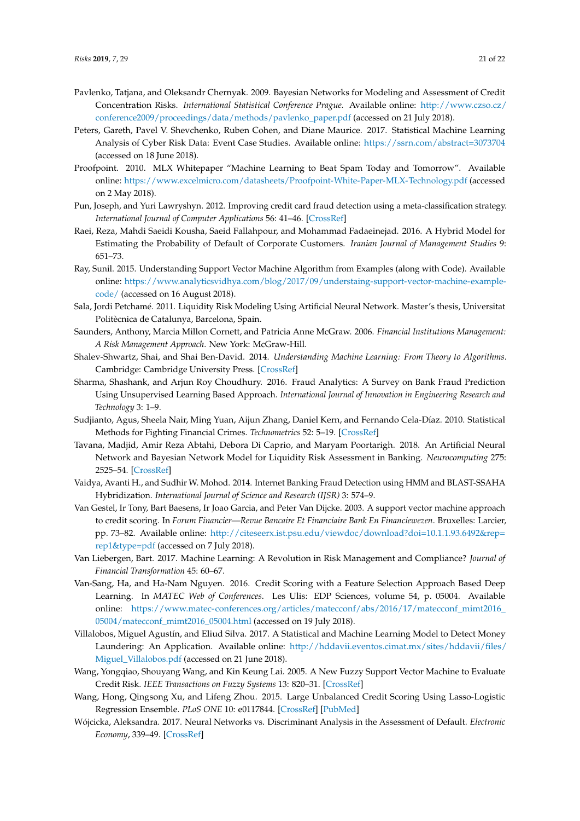- <span id="page-20-10"></span>Pavlenko, Tatjana, and Oleksandr Chernyak. 2009. Bayesian Networks for Modeling and Assessment of Credit Concentration Risks. *International Statistical Conference Prague.* Available online: [http://www.czso.cz/](http://www.czso.cz/conference2009/proceedings/data/methods/pavlenko_paper.pdf) [conference2009/proceedings/data/methods/pavlenko\\_paper.pdf](http://www.czso.cz/conference2009/proceedings/data/methods/pavlenko_paper.pdf) (accessed on 21 July 2018).
- <span id="page-20-18"></span>Peters, Gareth, Pavel V. Shevchenko, Ruben Cohen, and Diane Maurice. 2017. Statistical Machine Learning Analysis of Cyber Risk Data: Event Case Studies. Available online: <https://ssrn.com/abstract=3073704> (accessed on 18 June 2018).
- <span id="page-20-12"></span>Proofpoint. 2010. MLX Whitepaper "Machine Learning to Beat Spam Today and Tomorrow". Available online: <https://www.excelmicro.com/datasheets/Proofpoint-White-Paper-MLX-Technology.pdf> (accessed on 2 May 2018).
- <span id="page-20-15"></span>Pun, Joseph, and Yuri Lawryshyn. 2012. Improving credit card fraud detection using a meta-classification strategy. *International Journal of Computer Applications* 56: 41–46. [\[CrossRef\]](http://dx.doi.org/10.5120/8930-3007)
- <span id="page-20-8"></span>Raei, Reza, Mahdi Saeidi Kousha, Saeid Fallahpour, and Mohammad Fadaeinejad. 2016. A Hybrid Model for Estimating the Probability of Default of Corporate Customers. *Iranian Journal of Management Studies* 9: 651–73.
- <span id="page-20-9"></span>Ray, Sunil. 2015. Understanding Support Vector Machine Algorithm from Examples (along with Code). Available online: [https://www.analyticsvidhya.com/blog/2017/09/understaing-support-vector-machine-example](https://www.analyticsvidhya.com/blog/2017/09/understaing-support-vector-machine-example-code/)[code/](https://www.analyticsvidhya.com/blog/2017/09/understaing-support-vector-machine-example-code/) (accessed on 16 August 2018).
- <span id="page-20-17"></span>Sala, Jordi Petchamé. 2011. Liquidity Risk Modeling Using Artificial Neural Network. Master's thesis, Universitat Politècnica de Catalunya, Barcelona, Spain.
- <span id="page-20-1"></span>Saunders, Anthony, Marcia Millon Cornett, and Patricia Anne McGraw. 2006. *Financial Institutions Management: A Risk Management Approach*. New York: McGraw-Hill.
- <span id="page-20-2"></span>Shalev-Shwartz, Shai, and Shai Ben-David. 2014. *Understanding Machine Learning: From Theory to Algorithms*. Cambridge: Cambridge University Press. [\[CrossRef\]](http://dx.doi.org/10.1017/CBO9781107298019)
- <span id="page-20-19"></span>Sharma, Shashank, and Arjun Roy Choudhury. 2016. Fraud Analytics: A Survey on Bank Fraud Prediction Using Unsupervised Learning Based Approach. *International Journal of Innovation in Engineering Research and Technology* 3: 1–9.
- <span id="page-20-13"></span>Sudjianto, Agus, Sheela Nair, Ming Yuan, Aijun Zhang, Daniel Kern, and Fernando Cela-Díaz. 2010. Statistical Methods for Fighting Financial Crimes. *Technometrics* 52: 5–19. [\[CrossRef\]](http://dx.doi.org/10.1198/TECH.2010.07032)
- <span id="page-20-11"></span>Tavana, Madjid, Amir Reza Abtahi, Debora Di Caprio, and Maryam Poortarigh. 2018. An Artificial Neural Network and Bayesian Network Model for Liquidity Risk Assessment in Banking. *Neurocomputing* 275: 2525–54. [\[CrossRef\]](http://dx.doi.org/10.1016/j.neucom.2017.11.034)
- <span id="page-20-16"></span>Vaidya, Avanti H., and Sudhir W. Mohod. 2014. Internet Banking Fraud Detection using HMM and BLAST-SSAHA Hybridization. *International Journal of Science and Research (IJSR)* 3: 574–9.
- <span id="page-20-4"></span>Van Gestel, Ir Tony, Bart Baesens, Ir Joao Garcia, and Peter Van Dijcke. 2003. A support vector machine approach to credit scoring. In *Forum Financier—Revue Bancaire Et Financiaire Bank En Financiewezen*. Bruxelles: Larcier, pp. 73–82. Available online: [http://citeseerx.ist.psu.edu/viewdoc/download?doi=10.1.1.93.6492&rep=](http://citeseerx.ist.psu.edu/viewdoc/download?doi=10.1.1.93.6492&rep=rep1&type=pdf) [rep1&type=pdf](http://citeseerx.ist.psu.edu/viewdoc/download?doi=10.1.1.93.6492&rep=rep1&type=pdf) (accessed on 7 July 2018).
- <span id="page-20-0"></span>Van Liebergen, Bart. 2017. Machine Learning: A Revolution in Risk Management and Compliance? *Journal of Financial Transformation* 45: 60–67.
- <span id="page-20-6"></span>Van-Sang, Ha, and Ha-Nam Nguyen. 2016. Credit Scoring with a Feature Selection Approach Based Deep Learning. In *MATEC Web of Conferences*. Les Ulis: EDP Sciences, volume 54, p. 05004. Available online: [https://www.matec-conferences.org/articles/matecconf/abs/2016/17/matecconf\\_mimt2016\\_](https://www.matec-conferences.org/articles/matecconf/abs/2016/17/matecconf_mimt2016_05004/matecconf_mimt2016_05004.html) [05004/matecconf\\_mimt2016\\_05004.html](https://www.matec-conferences.org/articles/matecconf/abs/2016/17/matecconf_mimt2016_05004/matecconf_mimt2016_05004.html) (accessed on 19 July 2018).
- <span id="page-20-14"></span>Villalobos, Miguel Agustín, and Eliud Silva. 2017. A Statistical and Machine Learning Model to Detect Money Laundering: An Application. Available online: [http://hddavii.eventos.cimat.mx/sites/hddavii/files/](http://hddavii.eventos.cimat.mx/sites/hddavii/files/Miguel_Villalobos.pdf) [Miguel\\_Villalobos.pdf](http://hddavii.eventos.cimat.mx/sites/hddavii/files/Miguel_Villalobos.pdf) (accessed on 21 June 2018).
- <span id="page-20-3"></span>Wang, Yongqiao, Shouyang Wang, and Kin Keung Lai. 2005. A New Fuzzy Support Vector Machine to Evaluate Credit Risk. *IEEE Transactions on Fuzzy Systems* 13: 820–31. [\[CrossRef\]](http://dx.doi.org/10.1109/TFUZZ.2005.859320)
- <span id="page-20-7"></span>Wang, Hong, Qingsong Xu, and Lifeng Zhou. 2015. Large Unbalanced Credit Scoring Using Lasso-Logistic Regression Ensemble. *PLoS ONE* 10: e0117844. [\[CrossRef\]](http://dx.doi.org/10.1371/journal.pone.0117844) [\[PubMed\]](http://www.ncbi.nlm.nih.gov/pubmed/25706988)
- <span id="page-20-5"></span>Wójcicka, Aleksandra. 2017. Neural Networks vs. Discriminant Analysis in the Assessment of Default. *Electronic Economy*, 339–49. [\[CrossRef\]](http://dx.doi.org/10.17951/h.2017.51.5.339)